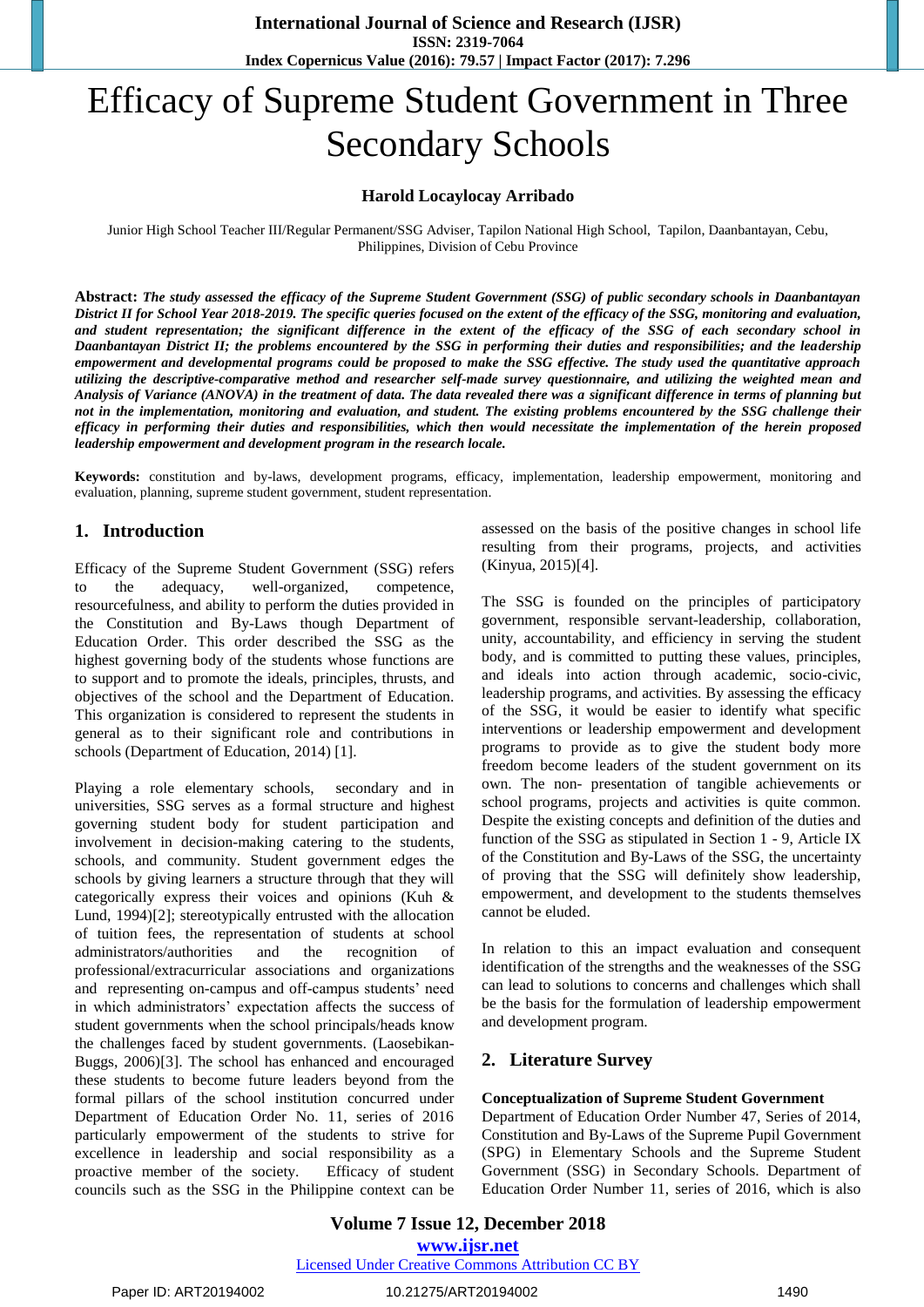# Efficacy of Supreme Student Government in Three Secondary Schools

## **Harold Locaylocay Arribado**

Junior High School Teacher III/Regular Permanent/SSG Adviser, Tapilon National High School, Tapilon, Daanbantayan, Cebu, Philippines, Division of Cebu Province

**Abstract:** *The study assessed the efficacy of the Supreme Student Government (SSG) of public secondary schools in Daanbantayan*  District II for School Year 2018-2019. The specific queries focused on the extent of the efficacy of the SSG, monitoring and evaluation, *and student representation; the significant difference in the extent of the efficacy of the SSG of each secondary school in Daanbantayan District II; the problems encountered by the SSG in performing their duties and responsibilities; and the leadership empowerment and developmental programs could be proposed to make the SSG effective. The study used the quantitative approach utilizing the descriptive-comparative method and researcher self-made survey questionnaire, and utilizing the weighted mean and Analysis of Variance (ANOVA) in the treatment of data. The data revealed there was a significant difference in terms of planning but not in the implementation, monitoring and evaluation, and student. The existing problems encountered by the SSG challenge their efficacy in performing their duties and responsibilities, which then would necessitate the implementation of the herein proposed leadership empowerment and development program in the research locale.*

**Keywords:** constitution and by-laws, development programs, efficacy, implementation, leadership empowerment, monitoring and evaluation, planning, supreme student government, student representation.

## **1. Introduction**

Efficacy of the Supreme Student Government (SSG) refers to the adequacy, well-organized, competence, resourcefulness, and ability to perform the duties provided in the Constitution and By-Laws though Department of Education Order. This order described the SSG as the highest governing body of the students whose functions are to support and to promote the ideals, principles, thrusts, and objectives of the school and the Department of Education. This organization is considered to represent the students in general as to their significant role and contributions in schools (Department of Education, 2014) [1].

Playing a role elementary schools, secondary and in universities, SSG serves as a formal structure and highest governing student body for student participation and involvement in decision-making catering to the students, schools, and community. Student government edges the schools by giving learners a structure through that they will categorically express their voices and opinions (Kuh & Lund, 1994)[2]; stereotypically entrusted with the allocation of tuition fees, the representation of students at school administrators/authorities and the recognition of professional/extracurricular associations and organizations and representing on-campus and off-campus students' need in which administrators' expectation affects the success of student governments when the school principals/heads know the challenges faced by student governments. (Laosebikan-Buggs, 2006)[3]. The school has enhanced and encouraged these students to become future leaders beyond from the formal pillars of the school institution concurred under Department of Education Order No. 11, series of 2016 particularly empowerment of the students to strive for excellence in leadership and social responsibility as a proactive member of the society. Efficacy of student councils such as the SSG in the Philippine context can be

assessed on the basis of the positive changes in school life resulting from their programs, projects, and activities (Kinyua, 2015)[4].

The SSG is founded on the principles of participatory government, responsible servant-leadership, collaboration, unity, accountability, and efficiency in serving the student body, and is committed to putting these values, principles, and ideals into action through academic, socio-civic, leadership programs, and activities. By assessing the efficacy of the SSG, it would be easier to identify what specific interventions or leadership empowerment and development programs to provide as to give the student body more freedom become leaders of the student government on its own. The non- presentation of tangible achievements or school programs, projects and activities is quite common. Despite the existing concepts and definition of the duties and function of the SSG as stipulated in Section 1 - 9, Article IX of the Constitution and By-Laws of the SSG, the uncertainty of proving that the SSG will definitely show leadership, empowerment, and development to the students themselves cannot be eluded.

In relation to this an impact evaluation and consequent identification of the strengths and the weaknesses of the SSG can lead to solutions to concerns and challenges which shall be the basis for the formulation of leadership empowerment and development program.

## **2. Literature Survey**

#### **Conceptualization of Supreme Student Government**

Department of Education Order Number 47, Series of 2014, Constitution and By-Laws of the Supreme Pupil Government (SPG) in Elementary Schools and the Supreme Student Government (SSG) in Secondary Schools. Department of Education Order Number 11, series of 2016, which is also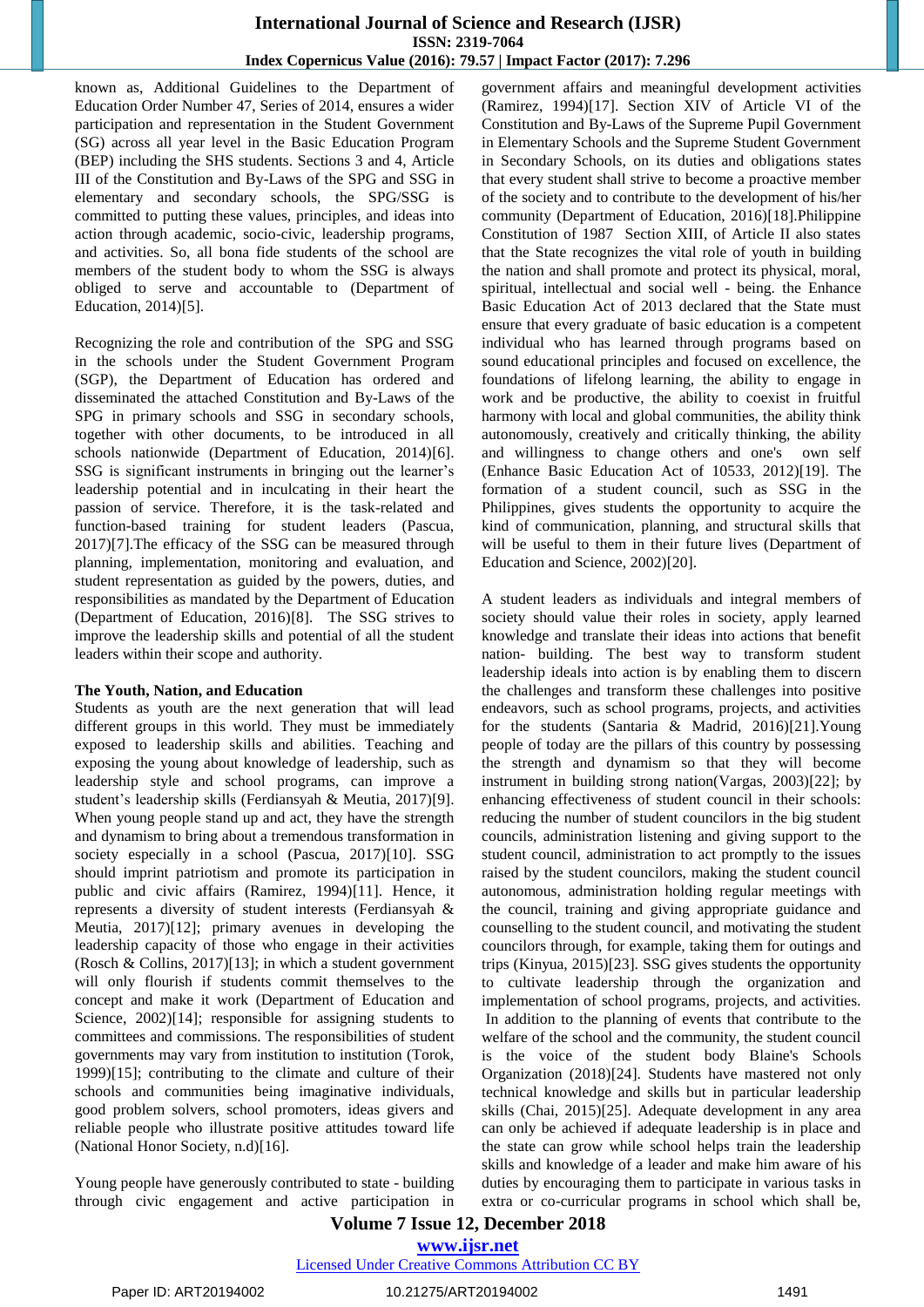known as, Additional Guidelines to the Department of Education Order Number 47, Series of 2014, ensures a wider participation and representation in the Student Government (SG) across all year level in the Basic Education Program (BEP) including the SHS students. Sections 3 and 4, Article III of the Constitution and By-Laws of the SPG and SSG in elementary and secondary schools, the SPG/SSG is committed to putting these values, principles, and ideas into action through academic, socio-civic, leadership programs, and activities. So, all bona fide students of the school are members of the student body to whom the SSG is always obliged to serve and accountable to (Department of Education, 2014)[5].

Recognizing the role and contribution of the SPG and SSG in the schools under the Student Government Program (SGP), the Department of Education has ordered and disseminated the attached Constitution and By-Laws of the SPG in primary schools and SSG in secondary schools, together with other documents, to be introduced in all schools nationwide (Department of Education, 2014)[6]. SSG is significant instruments in bringing out the learner's leadership potential and in inculcating in their heart the passion of service. Therefore, it is the task-related and function-based training for student leaders (Pascua, 2017)[7].The efficacy of the SSG can be measured through planning, implementation, monitoring and evaluation, and student representation as guided by the powers, duties, and responsibilities as mandated by the Department of Education (Department of Education, 2016)[8]. The SSG strives to improve the leadership skills and potential of all the student leaders within their scope and authority.

#### **The Youth, Nation, and Education**

Students as youth are the next generation that will lead different groups in this world. They must be immediately exposed to leadership skills and abilities. Teaching and exposing the young about knowledge of leadership, such as leadership style and school programs, can improve a student's leadership skills (Ferdiansyah & Meutia, 2017)[9]. When young people stand up and act, they have the strength and dynamism to bring about a tremendous transformation in society especially in a school (Pascua, 2017)[10]. SSG should imprint patriotism and promote its participation in public and civic affairs (Ramirez, 1994)[11]. Hence, it represents a diversity of student interests (Ferdiansyah & Meutia, 2017)[12]; primary avenues in developing the leadership capacity of those who engage in their activities (Rosch & Collins, 2017)[13]; in which a student government will only flourish if students commit themselves to the concept and make it work (Department of Education and Science, 2002)[14]; responsible for assigning students to committees and commissions. The responsibilities of student governments may vary from institution to institution (Torok, 1999)[15]; contributing to the climate and culture of their schools and communities being imaginative individuals, good problem solvers, school promoters, ideas givers and reliable people who illustrate positive attitudes toward life (National Honor Society, n.d)[16].

Young people have generously contributed to state - building through civic engagement and active participation in government affairs and meaningful development activities (Ramirez, 1994)[17]. Section XIV of Article VI of the Constitution and By-Laws of the Supreme Pupil Government in Elementary Schools and the Supreme Student Government in Secondary Schools, on its duties and obligations states that every student shall strive to become a proactive member of the society and to contribute to the development of his/her community (Department of Education, 2016)[18].Philippine Constitution of 1987 Section XIII, of Article II also states that the State recognizes the vital role of youth in building the nation and shall promote and protect its physical, moral, spiritual, intellectual and social well - being. the Enhance Basic Education Act of 2013 declared that the State must ensure that every graduate of basic education is a competent individual who has learned through programs based on sound educational principles and focused on excellence, the foundations of lifelong learning, the ability to engage in work and be productive, the ability to coexist in fruitful harmony with local and global communities, the ability think autonomously, creatively and critically thinking, the ability and willingness to change others and one's own self (Enhance Basic Education Act of 10533, 2012)[19]. The formation of a student council, such as SSG in the Philippines, gives students the opportunity to acquire the kind of communication, planning, and structural skills that will be useful to them in their future lives (Department of Education and Science, 2002)[20].

A student leaders as individuals and integral members of society should value their roles in society, apply learned knowledge and translate their ideas into actions that benefit nation- building. The best way to transform student leadership ideals into action is by enabling them to discern the challenges and transform these challenges into positive endeavors, such as school programs, projects, and activities for the students (Santaria & Madrid, 2016)[21].Young people of today are the pillars of this country by possessing the strength and dynamism so that they will become instrument in building strong nation(Vargas, 2003)[22]; by enhancing effectiveness of student council in their schools: reducing the number of student councilors in the big student councils, administration listening and giving support to the student council, administration to act promptly to the issues raised by the student councilors, making the student council autonomous, administration holding regular meetings with the council, training and giving appropriate guidance and counselling to the student council, and motivating the student councilors through, for example, taking them for outings and trips (Kinyua, 2015)[23]. SSG gives students the opportunity to cultivate leadership through the organization and implementation of school programs, projects, and activities. In addition to the planning of events that contribute to the welfare of the school and the community, the student council is the voice of the student body Blaine's Schools Organization (2018)[24]. Students have mastered not only technical knowledge and skills but in particular leadership skills (Chai, 2015)[25]. Adequate development in any area can only be achieved if adequate leadership is in place and the state can grow while school helps train the leadership skills and knowledge of a leader and make him aware of his duties by encouraging them to participate in various tasks in extra or co-curricular programs in school which shall be,

**Volume 7 Issue 12, December 2018**

**www.ijsr.net**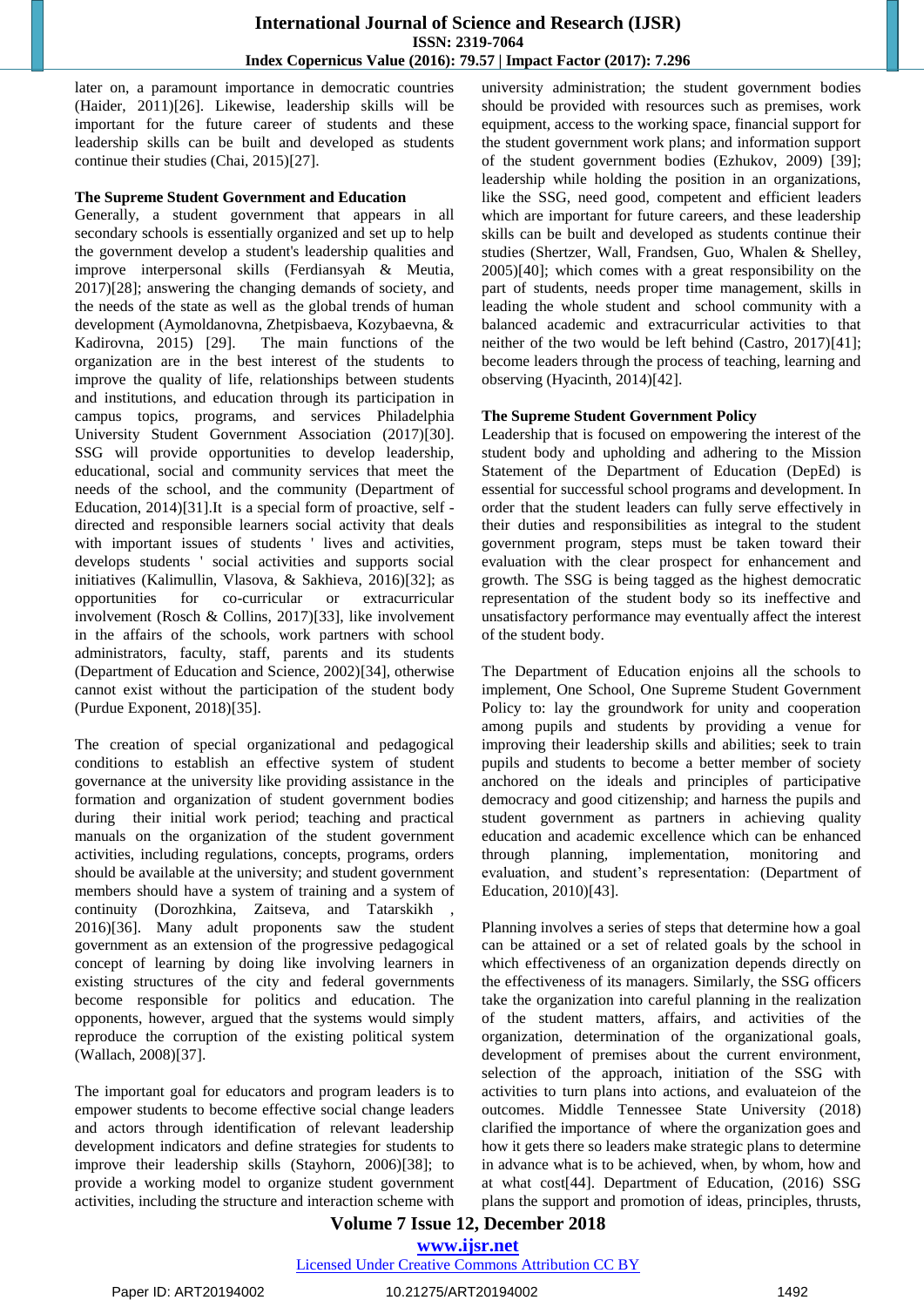later on, a paramount importance in democratic countries (Haider, 2011)[26]. Likewise, leadership skills will be important for the future career of students and these leadership skills can be built and developed as students continue their studies (Chai, 2015)[27].

#### **The Supreme Student Government and Education**

Generally, a student government that appears in all secondary schools is essentially organized and set up to help the government develop a student's leadership qualities and improve interpersonal skills (Ferdiansyah & Meutia, 2017)[28]; answering the changing demands of society, and the needs of the state as well as the global trends of human development (Aymoldanovna, Zhetpisbaeva, Kozybaevna, & Kadirovna, 2015) [29]. The main functions of the organization are in the best interest of the students to improve the quality of life, relationships between students and institutions, and education through its participation in campus topics, programs, and services Philadelphia University Student Government Association (2017)[30]. SSG will provide opportunities to develop leadership, educational, social and community services that meet the needs of the school, and the community (Department of Education, 2014)[31].It is a special form of proactive, self directed and responsible learners social activity that deals with important issues of students 'lives and activities, develops students ' social activities and supports social initiatives (Kalimullin, Vlasova, & Sakhieva, 2016)[32]; as opportunities for co-curricular or extracurricular involvement (Rosch & Collins, 2017)[33], like involvement in the affairs of the schools, work partners with school administrators, faculty, staff, parents and its students (Department of Education and Science, 2002)[34], otherwise cannot exist without the participation of the student body (Purdue Exponent, 2018)[35].

The creation of special organizational and pedagogical conditions to establish an effective system of student governance at the university like providing assistance in the formation and organization of student government bodies during their initial work period; teaching and practical manuals on the organization of the student government activities, including regulations, concepts, programs, orders should be available at the university; and student government members should have a system of training and a system of continuity (Dorozhkina, Zaitseva, and Tatarskikh 2016)[36]. Many adult proponents saw the student government as an extension of the progressive pedagogical concept of learning by doing like involving learners in existing structures of the city and federal governments become responsible for politics and education. The opponents, however, argued that the systems would simply reproduce the corruption of the existing political system (Wallach, 2008)[37].

The important goal for educators and program leaders is to empower students to become effective social change leaders and actors through identification of relevant leadership development indicators and define strategies for students to improve their leadership skills (Stayhorn, 2006)[38]; to provide a working model to organize student government activities, including the structure and interaction scheme with university administration; the student government bodies should be provided with resources such as premises, work equipment, access to the working space, financial support for the student government work plans; and information support of the student government bodies (Ezhukov, 2009) [39]; leadership while holding the position in an organizations, like the SSG, need good, competent and efficient leaders which are important for future careers, and these leadership skills can be built and developed as students continue their studies (Shertzer, Wall, Frandsen, Guo, Whalen & Shelley, 2005)[40]; which comes with a great responsibility on the part of students, needs proper time management, skills in leading the whole student and school community with a balanced academic and extracurricular activities to that neither of the two would be left behind (Castro, 2017)[41]; become leaders through the process of teaching, learning and observing (Hyacinth, 2014)[42].

## **The Supreme Student Government Policy**

Leadership that is focused on empowering the interest of the student body and upholding and adhering to the Mission Statement of the Department of Education (DepEd) is essential for successful school programs and development. In order that the student leaders can fully serve effectively in their duties and responsibilities as integral to the student government program, steps must be taken toward their evaluation with the clear prospect for enhancement and growth. The SSG is being tagged as the highest democratic representation of the student body so its ineffective and unsatisfactory performance may eventually affect the interest of the student body.

The Department of Education enjoins all the schools to implement, One School, One Supreme Student Government Policy to: lay the groundwork for unity and cooperation among pupils and students by providing a venue for improving their leadership skills and abilities; seek to train pupils and students to become a better member of society anchored on the ideals and principles of participative democracy and good citizenship; and harness the pupils and student government as partners in achieving quality education and academic excellence which can be enhanced through planning, implementation, monitoring and evaluation, and student's representation: (Department of Education, 2010)[43].

Planning involves a series of steps that determine how a goal can be attained or a set of related goals by the school in which effectiveness of an organization depends directly on the effectiveness of its managers. Similarly, the SSG officers take the organization into careful planning in the realization of the student matters, affairs, and activities of the organization, determination of the organizational goals, development of premises about the current environment, selection of the approach, initiation of the SSG with activities to turn plans into actions, and evaluateion of the outcomes. Middle Tennessee State University (2018) clarified the importance of where the organization goes and how it gets there so leaders make strategic plans to determine in advance what is to be achieved, when, by whom, how and at what cost[44]. Department of Education, (2016) SSG plans the support and promotion of ideas, principles, thrusts,

## **Volume 7 Issue 12, December 2018 www.ijsr.net**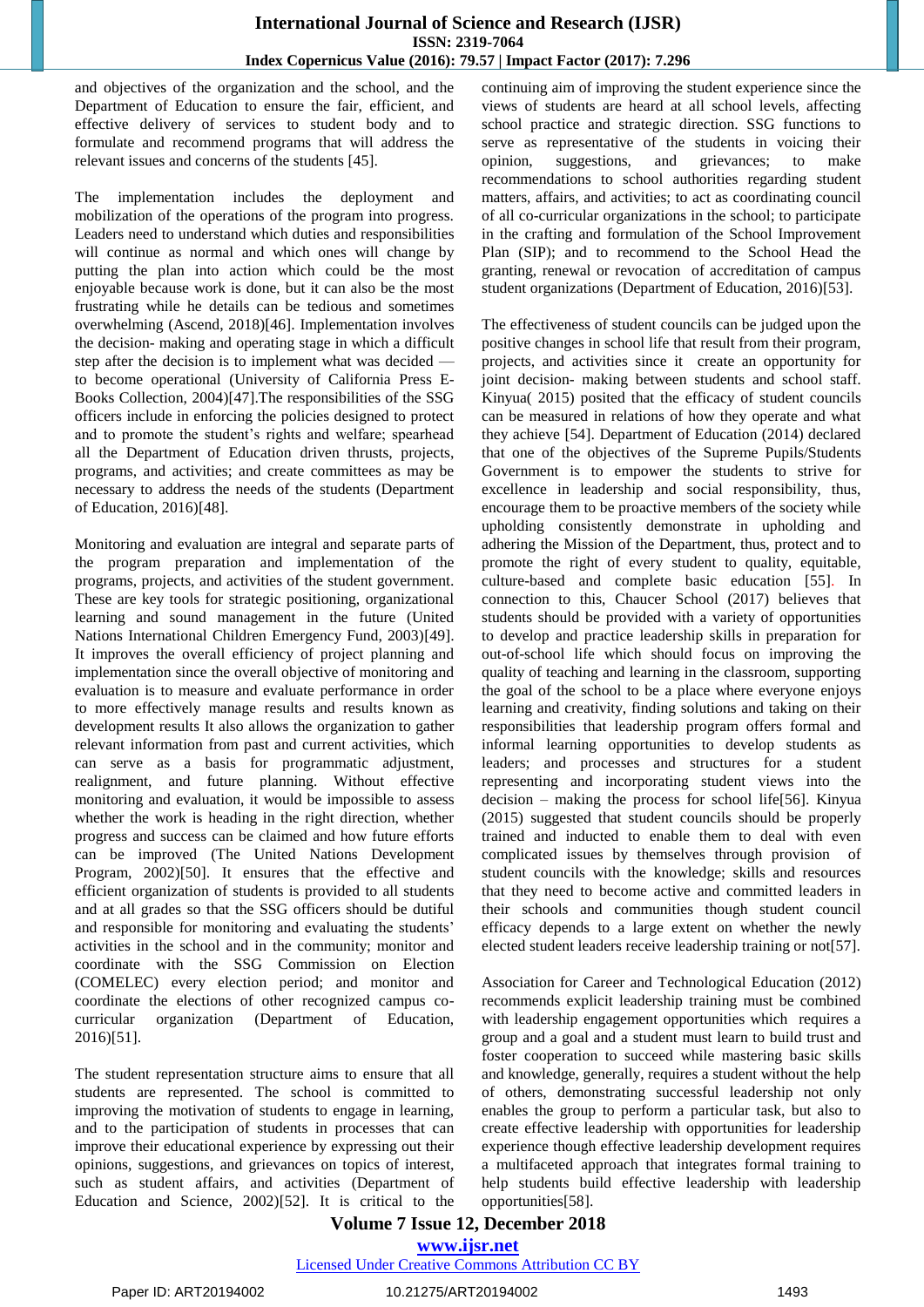and objectives of the organization and the school, and the Department of Education to ensure the fair, efficient, and effective delivery of services to student body and to formulate and recommend programs that will address the relevant issues and concerns of the students [45].

The implementation includes the deployment and mobilization of the operations of the program into progress. Leaders need to understand which duties and responsibilities will continue as normal and which ones will change by putting the plan into action which could be the most enjoyable because work is done, but it can also be the most frustrating while he details can be tedious and sometimes overwhelming (Ascend, 2018)[46]. Implementation involves the decision- making and operating stage in which a difficult step after the decision is to implement what was decided to become operational [\(University of California](https://publishing.cdlib.org/ucpressebooks) Press E-[Books Collection, 2004\)](https://publishing.cdlib.org/ucpressebooks)[47].The responsibilities of the SSG officers include in enforcing the policies designed to protect and to promote the student's rights and welfare; spearhead all the Department of Education driven thrusts, projects, programs, and activities; and create committees as may be necessary to address the needs of the students (Department of Education, 2016)[48].

Monitoring and evaluation are integral and separate parts of the program preparation and implementation of the programs, projects, and activities of the student government. These are key tools for strategic positioning, organizational learning and sound management in the future (United Nations International Children Emergency Fund, 2003)[49]. It improves the overall efficiency of project planning and implementation since the overall objective of monitoring and evaluation is to measure and evaluate performance in order to more effectively manage results and results known as development results It also allows the organization to gather relevant information from past and current activities, which can serve as a basis for programmatic adjustment, realignment, and future planning. Without effective monitoring and evaluation, it would be impossible to assess whether the work is heading in the right direction, whether progress and success can be claimed and how future efforts can be improved (The United Nations Development Program, 2002)[50]. It ensures that the effective and efficient organization of students is provided to all students and at all grades so that the SSG officers should be dutiful and responsible for monitoring and evaluating the students' activities in the school and in the community; monitor and coordinate with the SSG Commission on Election (COMELEC) every election period; and monitor and coordinate the elections of other recognized campus cocurricular organization (Department of Education, 2016)[51].

The student representation structure aims to ensure that all students are represented. The school is committed to improving the motivation of students to engage in learning, and to the participation of students in processes that can improve their educational experience by expressing out their opinions, suggestions, and grievances on topics of interest, such as student affairs, and activities (Department of Education and Science, 2002)[52]. It is critical to the continuing aim of improving the student experience since the views of students are heard at all school levels, affecting school practice and strategic direction. SSG functions to serve as representative of the students in voicing their opinion, suggestions, and grievances; to make recommendations to school authorities regarding student matters, affairs, and activities; to act as coordinating council of all co-curricular organizations in the school; to participate in the crafting and formulation of the School Improvement Plan (SIP); and to recommend to the School Head the granting, renewal or revocation of accreditation of campus student organizations (Department of Education, 2016)[53].

The effectiveness of student councils can be judged upon the positive changes in school life that result from their program, projects, and activities since it create an opportunity for joint decision- making between students and school staff. Kinyua( 2015) posited that the efficacy of student councils can be measured in relations of how they operate and what they achieve [54]. Department of Education (2014) declared that one of the objectives of the Supreme Pupils/Students Government is to empower the students to strive for excellence in leadership and social responsibility, thus, encourage them to be proactive members of the society while upholding consistently demonstrate in upholding and adhering the Mission of the Department, thus, protect and to promote the right of every student to quality, equitable, culture-based and complete basic education [55]. In connection to this, Chaucer School (2017) believes that students should be provided with a variety of opportunities to develop and practice leadership skills in preparation for out-of-school life which should focus on improving the quality of teaching and learning in the classroom, supporting the goal of the school to be a place where everyone enjoys learning and creativity, finding solutions and taking on their responsibilities that leadership program offers formal and informal learning opportunities to develop students as leaders; and processes and structures for a student representing and incorporating student views into the decision – making the process for school life[56]. Kinyua (2015) suggested that student councils should be properly trained and inducted to enable them to deal with even complicated issues by themselves through provision of student councils with the knowledge; skills and resources that they need to become active and committed leaders in their schools and communities though student council efficacy depends to a large extent on whether the newly elected student leaders receive leadership training or not[57].

Association for Career and Technological Education (2012) recommends explicit leadership training must be combined with leadership engagement opportunities which requires a group and a goal and a student must learn to build trust and foster cooperation to succeed while mastering basic skills and knowledge, generally, requires a student without the help of others, demonstrating successful leadership not only enables the group to perform a particular task, but also to create effective leadership with opportunities for leadership experience though effective leadership development requires a multifaceted approach that integrates formal training to help students build effective leadership with leadership opportunities[58].

## **Volume 7 Issue 12, December 2018**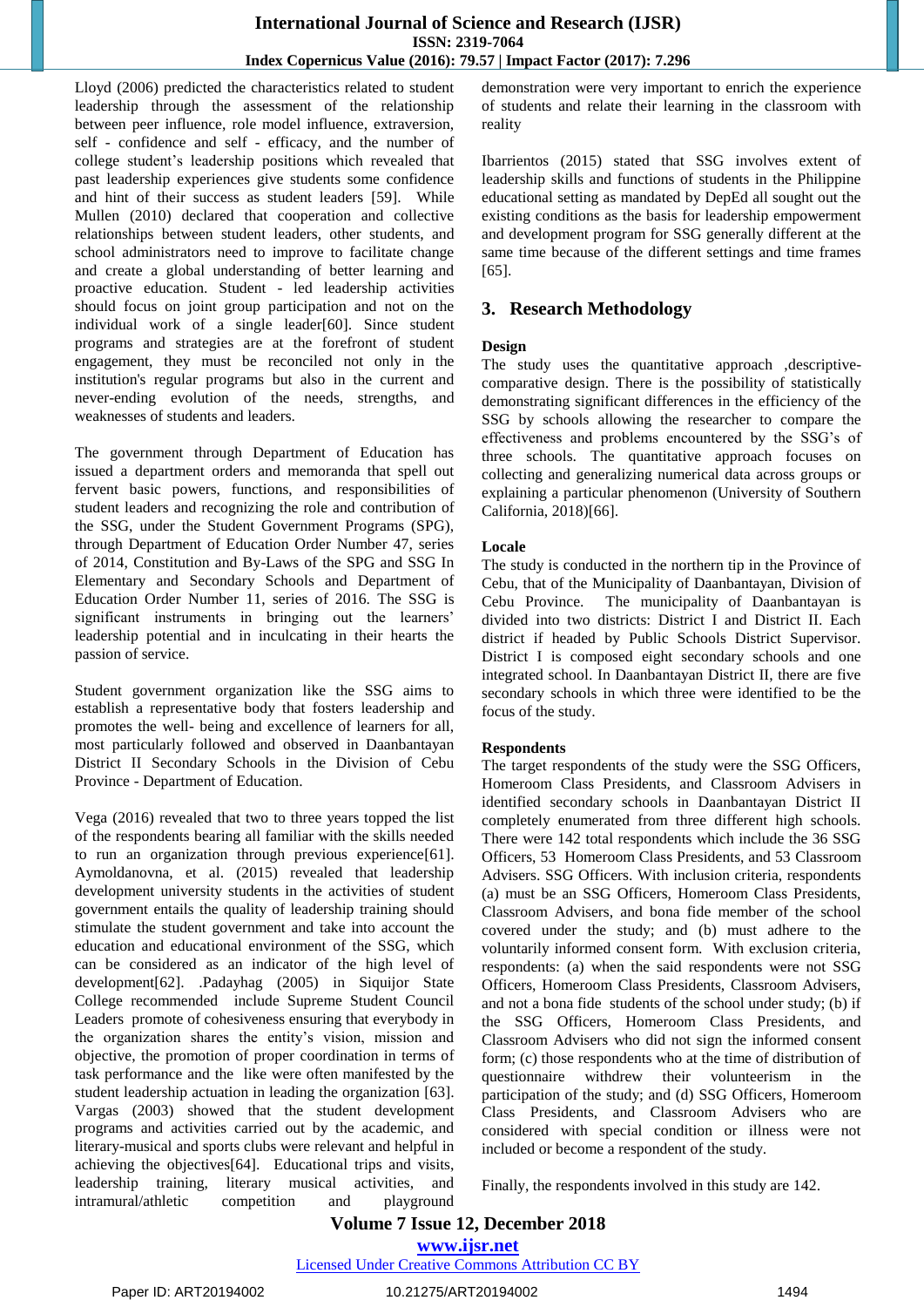Lloyd (2006) predicted the characteristics related to student leadership through the assessment of the relationship between peer influence, role model influence, extraversion, self - confidence and self - efficacy, and the number of college student's leadership positions which revealed that past leadership experiences give students some confidence and hint of their success as student leaders [59]. While Mullen (2010) declared that cooperation and collective relationships between student leaders, other students, and school administrators need to improve to facilitate change and create a global understanding of better learning and proactive education. Student - led leadership activities should focus on joint group participation and not on the individual work of a single leader[60]. Since student programs and strategies are at the forefront of student engagement, they must be reconciled not only in the institution's regular programs but also in the current and never-ending evolution of the needs, strengths, and weaknesses of students and leaders.

The government through Department of Education has issued a department orders and memoranda that spell out fervent basic powers, functions, and responsibilities of student leaders and recognizing the role and contribution of the SSG, under the Student Government Programs (SPG), through Department of Education Order Number 47, series of 2014, Constitution and By-Laws of the SPG and SSG In Elementary and Secondary Schools and Department of Education Order Number 11, series of 2016. The SSG is significant instruments in bringing out the learners' leadership potential and in inculcating in their hearts the passion of service.

Student government organization like the SSG aims to establish a representative body that fosters leadership and promotes the well- being and excellence of learners for all, most particularly followed and observed in Daanbantayan District II Secondary Schools in the Division of Cebu Province - Department of Education.

Vega (2016) revealed that two to three years topped the list of the respondents bearing all familiar with the skills needed to run an organization through previous experience[61]. Aymoldanovna, et al. (2015) revealed that leadership development university students in the activities of student government entails the quality of leadership training should stimulate the student government and take into account the education and educational environment of the SSG, which can be considered as an indicator of the high level of development[62]. .Padayhag (2005) in Siquijor State College recommended include Supreme Student Council Leaders promote of cohesiveness ensuring that everybody in the organization shares the entity's vision, mission and objective, the promotion of proper coordination in terms of task performance and the like were often manifested by the student leadership actuation in leading the organization [63]. Vargas (2003) showed that the student development programs and activities carried out by the academic, and literary-musical and sports clubs were relevant and helpful in achieving the objectives[64]. Educational trips and visits, leadership training, literary musical activities, and intramural/athletic competition and playground demonstration were very important to enrich the experience of students and relate their learning in the classroom with reality

Ibarrientos (2015) stated that SSG involves extent of leadership skills and functions of students in the Philippine educational setting as mandated by DepEd all sought out the existing conditions as the basis for leadership empowerment and development program for SSG generally different at the same time because of the different settings and time frames [65].

## **3. Research Methodology**

## **Design**

The study uses the quantitative approach ,descriptivecomparative design. There is the possibility of statistically demonstrating significant differences in the efficiency of the SSG by schools allowing the researcher to compare the effectiveness and problems encountered by the SSG's of three schools. The quantitative approach focuses on collecting and generalizing numerical data across groups or explaining a particular phenomenon (University of Southern California, 2018)[66].

## **Locale**

The study is conducted in the northern tip in the Province of Cebu, that of the Municipality of Daanbantayan, Division of Cebu Province. The municipality of Daanbantayan is divided into two districts: District I and District II. Each district if headed by Public Schools District Supervisor. District I is composed eight secondary schools and one integrated school. In Daanbantayan District II, there are five secondary schools in which three were identified to be the focus of the study.

#### **Respondents**

The target respondents of the study were the SSG Officers, Homeroom Class Presidents, and Classroom Advisers in identified secondary schools in Daanbantayan District II completely enumerated from three different high schools. There were 142 total respondents which include the 36 SSG Officers, 53 Homeroom Class Presidents, and 53 Classroom Advisers. SSG Officers. With inclusion criteria, respondents (a) must be an SSG Officers, Homeroom Class Presidents, Classroom Advisers, and bona fide member of the school covered under the study; and (b) must adhere to the voluntarily informed consent form. With exclusion criteria, respondents: (a) when the said respondents were not SSG Officers, Homeroom Class Presidents, Classroom Advisers, and not a bona fide students of the school under study; (b) if the SSG Officers, Homeroom Class Presidents, and Classroom Advisers who did not sign the informed consent form; (c) those respondents who at the time of distribution of questionnaire withdrew their volunteerism in the participation of the study; and (d) SSG Officers, Homeroom Class Presidents, and Classroom Advisers who are considered with special condition or illness were not included or become a respondent of the study.

Finally, the respondents involved in this study are 142.

## **Volume 7 Issue 12, December 2018**

**www.ijsr.net**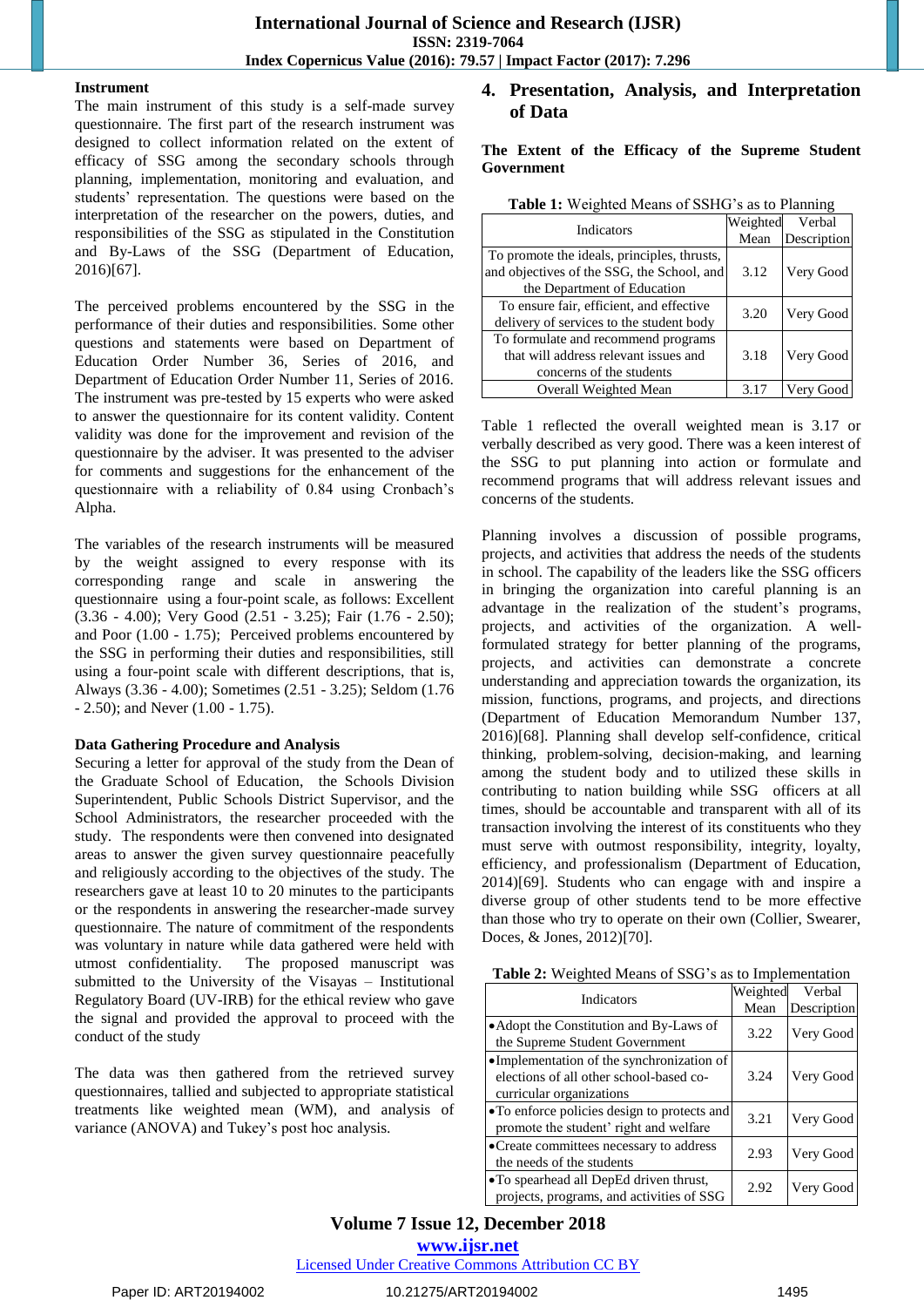#### **Instrument**

The main instrument of this study is a self-made survey questionnaire. The first part of the research instrument was designed to collect information related on the extent of efficacy of SSG among the secondary schools through planning, implementation, monitoring and evaluation, and students' representation. The questions were based on the interpretation of the researcher on the powers, duties, and responsibilities of the SSG as stipulated in the Constitution and By-Laws of the SSG (Department of Education, 2016)[67].

The perceived problems encountered by the SSG in the performance of their duties and responsibilities. Some other questions and statements were based on Department of Education Order Number 36, Series of 2016, and Department of Education Order Number 11, Series of 2016. The instrument was pre-tested by 15 experts who were asked to answer the questionnaire for its content validity. Content validity was done for the improvement and revision of the questionnaire by the adviser. It was presented to the adviser for comments and suggestions for the enhancement of the questionnaire with a reliability of 0.84 using Cronbach's Alpha.

The variables of the research instruments will be measured by the weight assigned to every response with its corresponding range and scale in answering the questionnaire using a four-point scale, as follows: Excellent (3.36 - 4.00); Very Good (2.51 - 3.25); Fair (1.76 - 2.50); and Poor (1.00 - 1.75); Perceived problems encountered by the SSG in performing their duties and responsibilities, still using a four-point scale with different descriptions, that is, Always (3.36 - 4.00); Sometimes (2.51 - 3.25); Seldom (1.76 - 2.50); and Never (1.00 - 1.75).

#### **Data Gathering Procedure and Analysis**

Securing a letter for approval of the study from the Dean of the Graduate School of Education, the Schools Division Superintendent, Public Schools District Supervisor, and the School Administrators, the researcher proceeded with the study. The respondents were then convened into designated areas to answer the given survey questionnaire peacefully and religiously according to the objectives of the study. The researchers gave at least 10 to 20 minutes to the participants or the respondents in answering the researcher-made survey questionnaire. The nature of commitment of the respondents was voluntary in nature while data gathered were held with utmost confidentiality. The proposed manuscript was submitted to the University of the Visayas – Institutional Regulatory Board (UV-IRB) for the ethical review who gave the signal and provided the approval to proceed with the conduct of the study

The data was then gathered from the retrieved survey questionnaires, tallied and subjected to appropriate statistical treatments like weighted mean (WM), and analysis of variance (ANOVA) and Tukey's post hoc analysis.

## **4. Presentation, Analysis, and Interpretation of Data**

**The Extent of the Efficacy of the Supreme Student Government** 

| <b>Indicators</b>                           | Weighted | Verbal      |
|---------------------------------------------|----------|-------------|
|                                             | Mean     | Description |
| To promote the ideals, principles, thrusts, |          |             |
| and objectives of the SSG, the School, and  | 3.12     | Very Good   |
| the Department of Education                 |          |             |
| To ensure fair, efficient, and effective    | 3.20     | Very Good   |
| delivery of services to the student body    |          |             |
| To formulate and recommend programs         |          |             |
| that will address relevant issues and       | 3.18     | Very Good   |
| concerns of the students                    |          |             |
| Overall Weighted Mean                       | 3.17     | Very Good   |

Table 1 reflected the overall weighted mean is 3.17 or verbally described as very good. There was a keen interest of the SSG to put planning into action or formulate and recommend programs that will address relevant issues and concerns of the students.

Planning involves a discussion of possible programs, projects, and activities that address the needs of the students in school. The capability of the leaders like the SSG officers in bringing the organization into careful planning is an advantage in the realization of the student's programs, projects, and activities of the organization. A wellformulated strategy for better planning of the programs, projects, and activities can demonstrate a concrete understanding and appreciation towards the organization, its mission, functions, programs, and projects, and directions (Department of Education Memorandum Number 137, 2016)[68]. Planning shall develop self-confidence, critical thinking, problem-solving, decision-making, and learning among the student body and to utilized these skills in contributing to nation building while SSG officers at all times, should be accountable and transparent with all of its transaction involving the interest of its constituents who they must serve with outmost responsibility, integrity, loyalty, efficiency, and professionalism (Department of Education, 2014)[69]. Students who can engage with and inspire a diverse group of other students tend to be more effective than those who try to operate on their own (Collier, Swearer, Doces, & Jones, 2012)[70].

| Table 2: Weighted Means of SSG's as to Implementation |  |
|-------------------------------------------------------|--|
|-------------------------------------------------------|--|

| <b>Indicators</b>                                                                                                | Weighted | Verbal      |
|------------------------------------------------------------------------------------------------------------------|----------|-------------|
|                                                                                                                  | Mean     | Description |
| • Adopt the Constitution and By-Laws of<br>the Supreme Student Government                                        | 3.22     | Very Good   |
| ·Implementation of the synchronization of<br>elections of all other school-based co-<br>curricular organizations | 3.24     | Very Good   |
| • To enforce policies design to protects and<br>promote the student' right and welfare                           | 3.21     | Very Good   |
| •Create committees necessary to address<br>the needs of the students                                             | 2.93     | Very Good   |
| •To spearhead all DepEd driven thrust,<br>projects, programs, and activities of SSG                              | 2.92     | Very Good   |

## **Volume 7 Issue 12, December 2018**

**www.ijsr.net**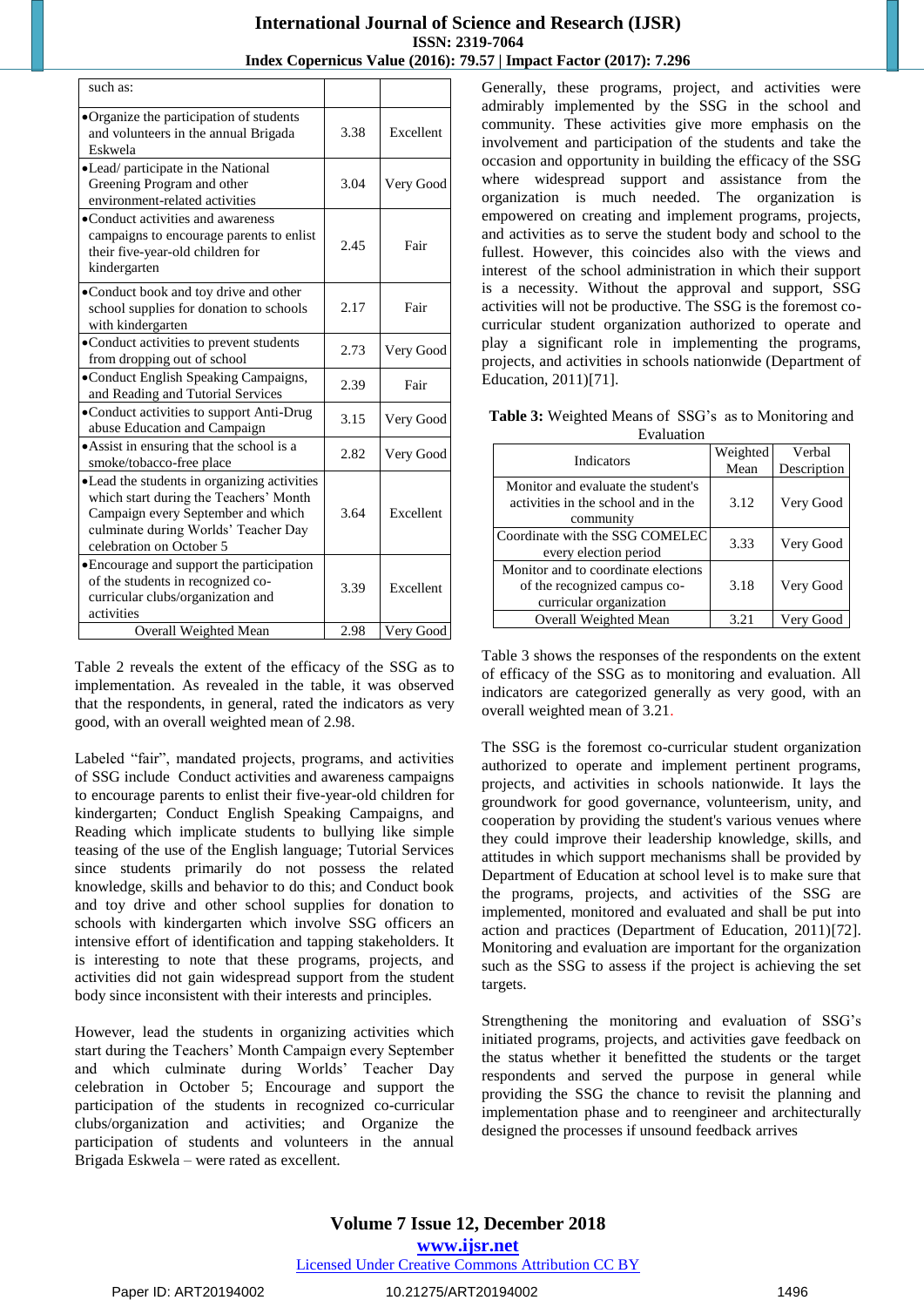| such as:                                                                                                                                                                                         |      |           |
|--------------------------------------------------------------------------------------------------------------------------------------------------------------------------------------------------|------|-----------|
| •Organize the participation of students<br>and volunteers in the annual Brigada<br>Eskwela                                                                                                       | 3.38 | Excellent |
| •Lead/ participate in the National<br>Greening Program and other<br>environment-related activities                                                                                               | 3.04 | Very Good |
| •Conduct activities and awareness<br>campaigns to encourage parents to enlist<br>their five-year-old children for<br>kindergarten                                                                | 2.45 | Fair      |
| •Conduct book and toy drive and other<br>school supplies for donation to schools<br>with kindergarten                                                                                            | 2.17 | Fair      |
| • Conduct activities to prevent students<br>from dropping out of school                                                                                                                          | 2.73 | Very Good |
| •Conduct English Speaking Campaigns,<br>and Reading and Tutorial Services                                                                                                                        | 2.39 | Fair      |
| •Conduct activities to support Anti-Drug<br>abuse Education and Campaign                                                                                                                         | 3.15 | Very Good |
| • Assist in ensuring that the school is a<br>smoke/tobacco-free place                                                                                                                            | 2.82 | Very Good |
| • Lead the students in organizing activities<br>which start during the Teachers' Month<br>Campaign every September and which<br>culminate during Worlds' Teacher Day<br>celebration on October 5 | 3.64 | Excellent |
| • Encourage and support the participation<br>of the students in recognized co-<br>curricular clubs/organization and<br>activities                                                                | 3.39 | Excellent |
| Overall Weighted Mean                                                                                                                                                                            | 2.98 | Very Good |

Table 2 reveals the extent of the efficacy of the SSG as to implementation. As revealed in the table, it was observed that the respondents, in general, rated the indicators as very good, with an overall weighted mean of 2.98.

Labeled "fair", mandated projects, programs, and activities of SSG include Conduct activities and awareness campaigns to encourage parents to enlist their five-year-old children for kindergarten; Conduct English Speaking Campaigns, and Reading which implicate students to bullying like simple teasing of the use of the English language; Tutorial Services since students primarily do not possess the related knowledge, skills and behavior to do this; and Conduct book and toy drive and other school supplies for donation to schools with kindergarten which involve SSG officers an intensive effort of identification and tapping stakeholders. It is interesting to note that these programs, projects, and activities did not gain widespread support from the student body since inconsistent with their interests and principles.

However, lead the students in organizing activities which start during the Teachers' Month Campaign every September and which culminate during Worlds' Teacher Day celebration in October 5; Encourage and support the participation of the students in recognized co-curricular clubs/organization and activities; and Organize the participation of students and volunteers in the annual Brigada Eskwela – were rated as excellent.

Generally, these programs, project, and activities were admirably implemented by the SSG in the school and community. These activities give more emphasis on the involvement and participation of the students and take the occasion and opportunity in building the efficacy of the SSG where widespread support and assistance from the organization is much needed. The organization is empowered on creating and implement programs, projects, and activities as to serve the student body and school to the fullest. However, this coincides also with the views and interest of the school administration in which their support is a necessity. Without the approval and support, SSG activities will not be productive. The SSG is the foremost cocurricular student organization authorized to operate and play a significant role in implementing the programs, projects, and activities in schools nationwide (Department of Education, 2011)[71].

**Table 3:** Weighted Means of SSG's as to Monitoring and Evaluation

| етаниант                            |          |             |  |  |  |
|-------------------------------------|----------|-------------|--|--|--|
| <b>Indicators</b>                   | Weighted | Verbal      |  |  |  |
|                                     | Mean     | Description |  |  |  |
| Monitor and evaluate the student's  |          |             |  |  |  |
| activities in the school and in the | 3.12     | Very Good   |  |  |  |
| community                           |          |             |  |  |  |
| Coordinate with the SSG COMELEC     | 3.33     | Very Good   |  |  |  |
| every election period               |          |             |  |  |  |
| Monitor and to coordinate elections |          |             |  |  |  |
| of the recognized campus co-        | 3.18     | Very Good   |  |  |  |
| curricular organization             |          |             |  |  |  |
| Overall Weighted Mean               | 3.21     | Very Good   |  |  |  |

Table 3 shows the responses of the respondents on the extent of efficacy of the SSG as to monitoring and evaluation. All indicators are categorized generally as very good, with an overall weighted mean of 3.21.

The SSG is the foremost co-curricular student organization authorized to operate and implement pertinent programs, projects, and activities in schools nationwide. It lays the groundwork for good governance, volunteerism, unity, and cooperation by providing the student's various venues where they could improve their leadership knowledge, skills, and attitudes in which support mechanisms shall be provided by Department of Education at school level is to make sure that the programs, projects, and activities of the SSG are implemented, monitored and evaluated and shall be put into action and practices (Department of Education, 2011)[72]. Monitoring and evaluation are important for the organization such as the SSG to assess if the project is achieving the set targets.

Strengthening the monitoring and evaluation of SSG's initiated programs, projects, and activities gave feedback on the status whether it benefitted the students or the target respondents and served the purpose in general while providing the SSG the chance to revisit the planning and implementation phase and to reengineer and architecturally designed the processes if unsound feedback arrives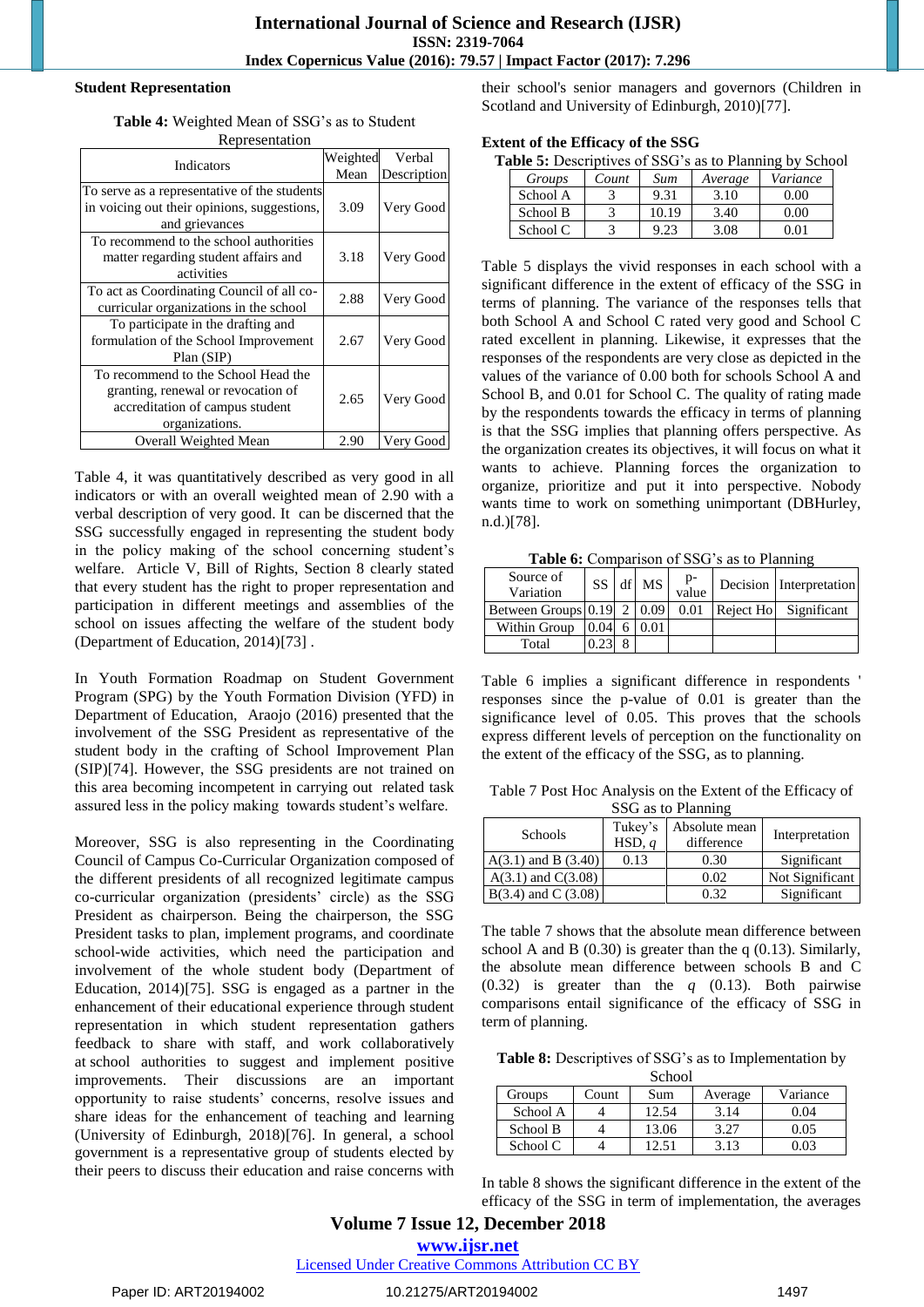#### **Student Representation**

**Table 4:** Weighted Mean of SSG's as to Student Representation

| Indicators                                   | Weighted | Verbal      |  |  |  |  |
|----------------------------------------------|----------|-------------|--|--|--|--|
|                                              | Mean     | Description |  |  |  |  |
| To serve as a representative of the students |          |             |  |  |  |  |
| in voicing out their opinions, suggestions,  | 3.09     | Very Good   |  |  |  |  |
| and grievances                               |          |             |  |  |  |  |
| To recommend to the school authorities       |          |             |  |  |  |  |
| matter regarding student affairs and         | 3.18     | Very Good   |  |  |  |  |
| activities                                   |          |             |  |  |  |  |
| To act as Coordinating Council of all co-    | 2.88     |             |  |  |  |  |
| curricular organizations in the school       |          | Very Good   |  |  |  |  |
| To participate in the drafting and           |          |             |  |  |  |  |
| formulation of the School Improvement        | 2.67     | Very Good   |  |  |  |  |
| Plan (SIP)                                   |          |             |  |  |  |  |
| To recommend to the School Head the          |          |             |  |  |  |  |
| granting, renewal or revocation of           | 2.65     |             |  |  |  |  |
| accreditation of campus student              |          | Very Good   |  |  |  |  |
| organizations.                               |          |             |  |  |  |  |
| Overall Weighted Mean                        | 2.90     | Very Good   |  |  |  |  |

Table 4, it was quantitatively described as very good in all indicators or with an overall weighted mean of 2.90 with a verbal description of very good. It can be discerned that the SSG successfully engaged in representing the student body in the policy making of the school concerning student's welfare. Article V, Bill of Rights, Section 8 clearly stated that every student has the right to proper representation and participation in different meetings and assemblies of the school on issues affecting the welfare of the student body (Department of Education, 2014)[73] .

In Youth Formation Roadmap on Student Government Program (SPG) by the Youth Formation Division (YFD) in Department of Education, Araojo (2016) presented that the involvement of the SSG President as representative of the student body in the crafting of School Improvement Plan (SIP)[74]. However, the SSG presidents are not trained on this area becoming incompetent in carrying out related task assured less in the policy making towards student's welfare.

Moreover, SSG is also representing in the Coordinating Council of Campus Co-Curricular Organization composed of the different presidents of all recognized legitimate campus co-curricular organization (presidents' circle) as the SSG President as chairperson. Being the chairperson, the SSG President tasks to plan, implement programs, and coordinate school-wide activities, which need the participation and involvement of the whole student body (Department of Education, 2014)[75]. SSG is engaged as a partner in the enhancement of their educational experience through student representation in which student representation gathers feedback to share with staff, and work collaboratively at school authorities to suggest and implement positive improvements. Their discussions are an important opportunity to raise students' concerns, resolve issues and share ideas for the enhancement of teaching and learning (University of Edinburgh, 2018)[76]. In general, a school government is a representative group of students elected by their peers to discuss their education and raise concerns with their school's senior managers and governors (Children in Scotland and University of Edinburgh, 2010)[77].

#### **Extent of the Efficacy of the SSG**

|--|

| Groups   | Count | Sum   | Average | Variance |
|----------|-------|-------|---------|----------|
| School A |       | 9.31  | 3.10    | ) በበ     |
| School B |       | 10.19 | 3.40    | ነ በበ     |
| School C |       |       | 3.08    |          |

Table 5 displays the vivid responses in each school with a significant difference in the extent of efficacy of the SSG in terms of planning. The variance of the responses tells that both School A and School C rated very good and School C rated excellent in planning. Likewise, it expresses that the responses of the respondents are very close as depicted in the values of the variance of 0.00 both for schools School A and School B, and 0.01 for School C. The quality of rating made by the respondents towards the efficacy in terms of planning is that the SSG implies that planning offers perspective. As the organization creates its objectives, it will focus on what it wants to achieve. Planning forces the organization to organize, prioritize and put it into perspective. Nobody wants time to work on something unimportant (DBHurley, n.d.)[78].

**Table 6:** Comparison of SSG's as to Planning

| Source of<br>Variation             |      | SS df MS | p-<br>value | Decision Interpretation |
|------------------------------------|------|----------|-------------|-------------------------|
| Between Groups $ 0.19 $ 2 $ 0.09 $ |      |          | 0.01        | Reject Ho Significant   |
| Within Group                       | 0.04 | 0.01     |             |                         |
| Total                              |      |          |             |                         |

Table 6 implies a significant difference in respondents ' responses since the p-value of 0.01 is greater than the significance level of 0.05. This proves that the schools express different levels of perception on the functionality on the extent of the efficacy of the SSG, as to planning.

Table 7 Post Hoc Analysis on the Extent of the Efficacy of SSG as to Planning

| Schools                 | Tukey's<br>HSD, q | Absolute mean<br>difference | Interpretation  |  |  |  |  |
|-------------------------|-------------------|-----------------------------|-----------------|--|--|--|--|
| $A(3.1)$ and B $(3.40)$ | 0.13              | 0.30                        | Significant     |  |  |  |  |
| $A(3.1)$ and $C(3.08)$  |                   | 0.02                        | Not Significant |  |  |  |  |
| $B(3.4)$ and C (3.08)   |                   | 0.32                        | Significant     |  |  |  |  |

The table 7 shows that the absolute mean difference between school A and B  $(0.30)$  is greater than the q  $(0.13)$ . Similarly, the absolute mean difference between schools B and C (0.32) is greater than the *q* (0.13). Both pairwise comparisons entail significance of the efficacy of SSG in term of planning.

**Table 8:** Descriptives of SSG's as to Implementation by School

| <b>DUITOUI</b><br>Variance<br>Count<br>Sum<br>Groups<br>Average |  |       |      |      |  |  |
|-----------------------------------------------------------------|--|-------|------|------|--|--|
| School A                                                        |  | 12.54 | 3.14 | 0.04 |  |  |
| School B                                                        |  | 13.06 | 3.27 | 0.05 |  |  |
| School C                                                        |  | 12.51 | 3.13 | 0.03 |  |  |

In table 8 shows the significant difference in the extent of the efficacy of the SSG in term of implementation, the averages

## **Volume 7 Issue 12, December 2018**

**www.ijsr.net**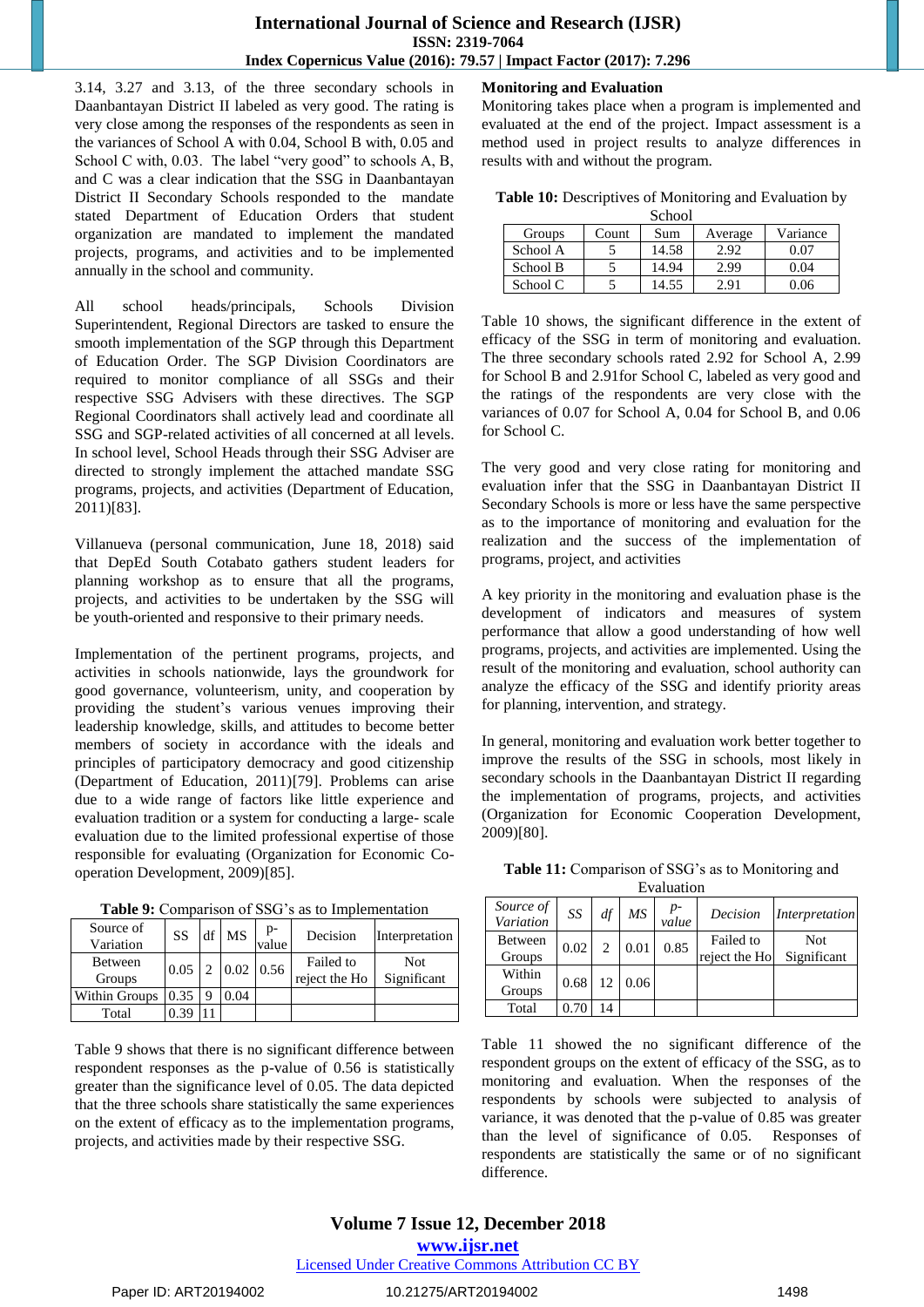3.14, 3.27 and 3.13, of the three secondary schools in Daanbantayan District II labeled as very good. The rating is very close among the responses of the respondents as seen in the variances of School A with 0.04, School B with, 0.05 and School C with,  $0.03$ . The label "very good" to schools A, B, and C was a clear indication that the SSG in Daanbantayan District II Secondary Schools responded to the mandate stated Department of Education Orders that student organization are mandated to implement the mandated projects, programs, and activities and to be implemented annually in the school and community.

All school heads/principals, Schools Division Superintendent, Regional Directors are tasked to ensure the smooth implementation of the SGP through this Department of Education Order. The SGP Division Coordinators are required to monitor compliance of all SSGs and their respective SSG Advisers with these directives. The SGP Regional Coordinators shall actively lead and coordinate all SSG and SGP-related activities of all concerned at all levels. In school level, School Heads through their SSG Adviser are directed to strongly implement the attached mandate SSG programs, projects, and activities (Department of Education, 2011)[83].

Villanueva (personal communication, June 18, 2018) said that DepEd South Cotabato gathers student leaders for planning workshop as to ensure that all the programs, projects, and activities to be undertaken by the SSG will be youth-oriented and responsive to their primary needs.

Implementation of the pertinent programs, projects, and activities in schools nationwide, lays the groundwork for good governance, volunteerism, unity, and cooperation by providing the student's various venues improving their leadership knowledge, skills, and attitudes to become better members of society in accordance with the ideals and principles of participatory democracy and good citizenship (Department of Education, 2011)[79]. Problems can arise due to a wide range of factors like little experience and evaluation tradition or a system for conducting a large- scale evaluation due to the limited professional expertise of those responsible for evaluating (Organization for Economic Cooperation Development, 2009)[85].

| Source of<br>Variation | SS   | df | <b>MS</b>           | $p-$<br>value | Decision                   | Interpretation            |
|------------------------|------|----|---------------------|---------------|----------------------------|---------------------------|
| Between<br>Groups      | 0.05 | ∍  | $0.02 \,   \, 0.56$ |               | Failed to<br>reject the Ho | <b>Not</b><br>Significant |
| Within Groups          | 0.35 |    | 0.04                |               |                            |                           |
| Total                  | 0.39 |    |                     |               |                            |                           |

**Table 9:** Comparison of SSG's as to Implementation

Table 9 shows that there is no significant difference between respondent responses as the p-value of 0.56 is statistically greater than the significance level of 0.05. The data depicted that the three schools share statistically the same experiences on the extent of efficacy as to the implementation programs, projects, and activities made by their respective SSG.

## **Monitoring and Evaluation**

Monitoring takes place when a program is implemented and evaluated at the end of the project. Impact assessment is a method used in project results to analyze differences in results with and without the program.

|  | Table 10: Descriptives of Monitoring and Evaluation by |  |  |
|--|--------------------------------------------------------|--|--|
|  | $R_{\alpha}$ <sub>0</sub>                              |  |  |

| <b>SURVOI</b> |       |       |         |          |  |  |  |
|---------------|-------|-------|---------|----------|--|--|--|
| Groups        | Count | Sum   | Average | Variance |  |  |  |
| School A      |       | 14.58 | 2.92    | 0.07     |  |  |  |
| School B      |       | 14.94 | 2.99    | 0.04     |  |  |  |
| School C      |       | 14.55 | 2.91    | 0.06     |  |  |  |

Table 10 shows, the significant difference in the extent of efficacy of the SSG in term of monitoring and evaluation. The three secondary schools rated 2.92 for School A, 2.99 for School B and 2.91for School C, labeled as very good and the ratings of the respondents are very close with the variances of 0.07 for School A, 0.04 for School B, and 0.06 for School C.

The very good and very close rating for monitoring and evaluation infer that the SSG in Daanbantayan District II Secondary Schools is more or less have the same perspective as to the importance of monitoring and evaluation for the realization and the success of the implementation of programs, project, and activities

A key priority in the monitoring and evaluation phase is the development of indicators and measures of system performance that allow a good understanding of how well programs, projects, and activities are implemented. Using the result of the monitoring and evaluation, school authority can analyze the efficacy of the SSG and identify priority areas for planning, intervention, and strategy.

In general, monitoring and evaluation work better together to improve the results of the SSG in schools, most likely in secondary schools in the Daanbantayan District II regarding the implementation of programs, projects, and activities (Organization for Economic Cooperation Development, 2009)[80].

| <b>Table 11:</b> Comparison of SSG's as to Monitoring and |
|-----------------------------------------------------------|
| Evaluation                                                |

| .                        |      |                |      |             |                            |                    |  |  |
|--------------------------|------|----------------|------|-------------|----------------------------|--------------------|--|--|
| Source of<br>Variation   | SS   | df             | МS   | p-<br>value | Decision                   | Interpretation     |  |  |
| <b>Between</b><br>Groups | 0.02 | $\mathfrak{D}$ | 0.01 | 0.85        | Failed to<br>reject the Ho | Not<br>Significant |  |  |
| Within<br>Groups         | 0.68 | 12             | 0.06 |             |                            |                    |  |  |
| Total                    |      | 14             |      |             |                            |                    |  |  |

Table 11 showed the no significant difference of the respondent groups on the extent of efficacy of the SSG, as to monitoring and evaluation. When the responses of the respondents by schools were subjected to analysis of variance, it was denoted that the p-value of 0.85 was greater than the level of significance of 0.05. Responses of respondents are statistically the same or of no significant difference.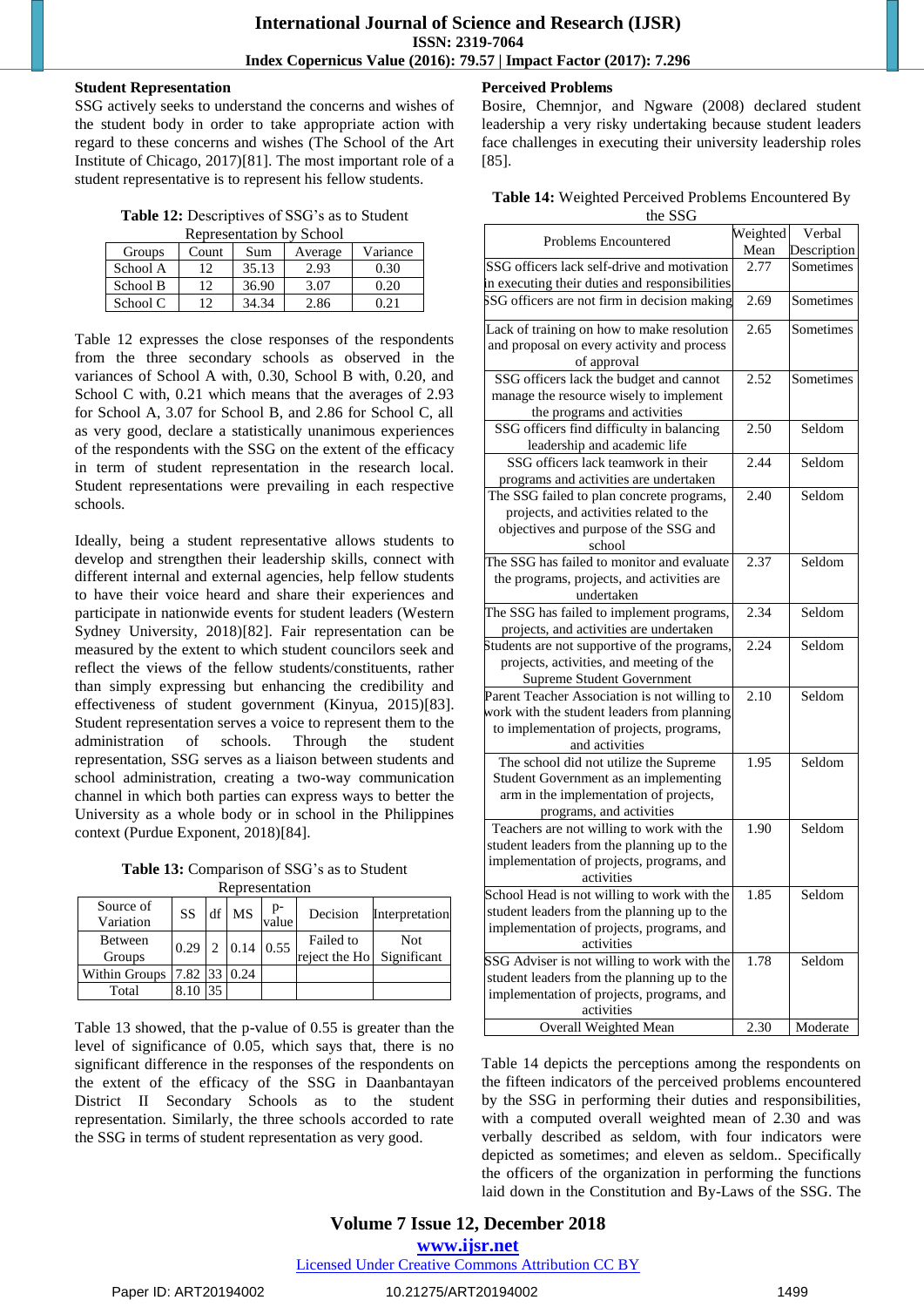#### **Student Representation**

SSG actively seeks to understand the concerns and wishes of the student body in order to take appropriate action with regard to these concerns and wishes (The School of the Art Institute of Chicago, 2017)[81]. The most important role of a student representative is to represent his fellow students.

| Table 12: Descriptives of SSG's as to Student |  |
|-----------------------------------------------|--|
|-----------------------------------------------|--|

| <b>Representation by School</b> |       |       |         |          |  |  |  |
|---------------------------------|-------|-------|---------|----------|--|--|--|
| Groups                          | Count | Sum   | Average | Variance |  |  |  |
| School A                        | 12    | 35.13 | 2.93    | 0.30     |  |  |  |
| School B                        | 12    | 36.90 | 3.07    | 0.20     |  |  |  |
| School C                        | 12    | 34.34 | 2.86    | 0.21     |  |  |  |

Table 12 expresses the close responses of the respondents from the three secondary schools as observed in the variances of School A with, 0.30, School B with, 0.20, and School C with, 0.21 which means that the averages of 2.93 for School A, 3.07 for School B, and 2.86 for School C, all as very good, declare a statistically unanimous experiences of the respondents with the SSG on the extent of the efficacy in term of student representation in the research local. Student representations were prevailing in each respective schools.

Ideally, being a student representative allows students to develop and strengthen their leadership skills, connect with different internal and external agencies, help fellow students to have their voice heard and share their experiences and participate in nationwide events for student leaders (Western Sydney University, 2018)[82]. Fair representation can be measured by the extent to which student councilors seek and reflect the views of the fellow students/constituents, rather than simply expressing but enhancing the credibility and effectiveness of student government (Kinyua, 2015)[83]. Student representation serves a voice to represent them to the administration of schools. Through the student representation, SSG serves as a liaison between students and school administration, creating a two-way communication channel in which both parties can express ways to better the University as a whole body or in school in the Philippines context (Purdue Exponent, 2018)[84].

**Table 13:** Comparison of SSG's as to Student **R**epresentation

| nudiusunung            |              |    |                  |             |                                        |                |  |
|------------------------|--------------|----|------------------|-------------|----------------------------------------|----------------|--|
| Source of<br>Variation | SS           | df | <b>MS</b>        | p-<br>value | Decision                               | Interpretation |  |
| Between<br>Groups      | 0.29         | 2  | $0.14 \mid 0.55$ |             | Failed to<br>reject the Ho Significant | <b>Not</b>     |  |
| Within Groups          | 7.82 33 0.24 |    |                  |             |                                        |                |  |
| Total                  |              |    |                  |             |                                        |                |  |

Table 13 showed, that the p-value of 0.55 is greater than the level of significance of 0.05, which says that, there is no significant difference in the responses of the respondents on the extent of the efficacy of the SSG in Daanbantayan District II Secondary Schools as to the student representation. Similarly, the three schools accorded to rate the SSG in terms of student representation as very good.

## **Perceived Problems**

Bosire, Chemnjor, and Ngware (2008) declared student leadership a very risky undertaking because student leaders face challenges in executing their university leadership roles [85].

**Table 14:** Weighted Perceived Problems Encountered By the SSG

| Problems Encountered                                                            | Weighted | Verbal      |
|---------------------------------------------------------------------------------|----------|-------------|
|                                                                                 | Mean     | Description |
| SSG officers lack self-drive and motivation                                     | 2.77     | Sometimes   |
| n executing their duties and responsibilities                                   |          |             |
| SSG officers are not firm in decision making                                    | 2.69     | Sometimes   |
| Lack of training on how to make resolution                                      | 2.65     | Sometimes   |
| and proposal on every activity and process                                      |          |             |
| of approval                                                                     |          |             |
| SSG officers lack the budget and cannot                                         | 2.52     | Sometimes   |
| manage the resource wisely to implement                                         |          |             |
| the programs and activities                                                     |          |             |
| SSG officers find difficulty in balancing                                       | 2.50     | Seldom      |
| leadership and academic life                                                    |          |             |
| SSG officers lack teamwork in their                                             | 2.44     | Seldom      |
| programs and activities are undertaken                                          |          |             |
| The SSG failed to plan concrete programs,                                       | 2.40     | Seldom      |
| projects, and activities related to the                                         |          |             |
| objectives and purpose of the SSG and                                           |          |             |
| school                                                                          |          |             |
| The SSG has failed to monitor and evaluate                                      | 2.37     | Seldom      |
| the programs, projects, and activities are                                      |          |             |
| undertaken                                                                      |          |             |
| The SSG has failed to implement programs,                                       | 2.34     | Seldom      |
| projects, and activities are undertaken                                         |          |             |
| Students are not supportive of the programs,                                    | 2.24     | Seldom      |
| projects, activities, and meeting of the                                        |          |             |
| <b>Supreme Student Government</b>                                               |          |             |
| Parent Teacher Association is not willing to                                    | 2.10     | Seldom      |
| work with the student leaders from planning                                     |          |             |
| to implementation of projects, programs,                                        |          |             |
| and activities                                                                  |          | Seldom      |
| The school did not utilize the Supreme                                          | 1.95     |             |
| Student Government as an implementing<br>arm in the implementation of projects, |          |             |
| programs, and activities                                                        |          |             |
| Teachers are not willing to work with the                                       | 1.90     | Seldom      |
| student leaders from the planning up to the                                     |          |             |
| implementation of projects, programs, and                                       |          |             |
| activities                                                                      |          |             |
| School Head is not willing to work with the                                     | 1.85     | Seldom      |
| student leaders from the planning up to the                                     |          |             |
| implementation of projects, programs, and                                       |          |             |
| activities                                                                      |          |             |
| SSG Adviser is not willing to work with the                                     | 1.78     | Seldom      |
| student leaders from the planning up to the                                     |          |             |
| implementation of projects, programs, and                                       |          |             |
| activities                                                                      |          |             |
| Overall Weighted Mean                                                           | 2.30     | Moderate    |

Table 14 depicts the perceptions among the respondents on the fifteen indicators of the perceived problems encountered by the SSG in performing their duties and responsibilities, with a computed overall weighted mean of 2.30 and was verbally described as seldom, with four indicators were depicted as sometimes; and eleven as seldom.. Specifically the officers of the organization in performing the functions laid down in the Constitution and By-Laws of the SSG. The

## **Volume 7 Issue 12, December 2018**

**www.ijsr.net**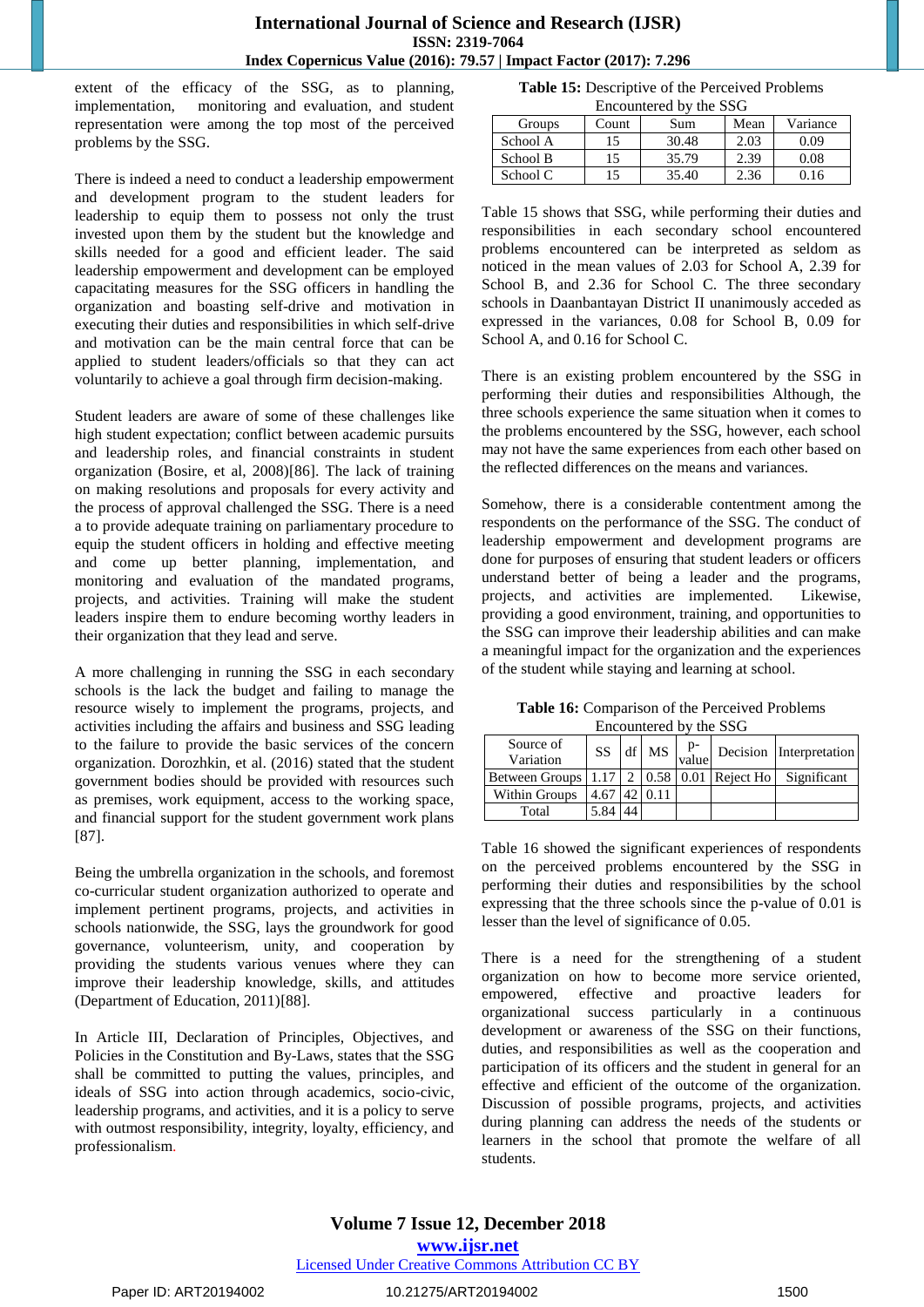extent of the efficacy of the SSG, as to planning, implementation, monitoring and evaluation, and student representation were among the top most of the perceived problems by the SSG.

There is indeed a need to conduct a leadership empowerment and development program to the student leaders for leadership to equip them to possess not only the trust invested upon them by the student but the knowledge and skills needed for a good and efficient leader. The said leadership empowerment and development can be employed capacitating measures for the SSG officers in handling the organization and boasting self-drive and motivation in executing their duties and responsibilities in which self-drive and motivation can be the main central force that can be applied to student leaders/officials so that they can act voluntarily to achieve a goal through firm decision-making.

Student leaders are aware of some of these challenges like high student expectation; conflict between academic pursuits and leadership roles, and financial constraints in student organization (Bosire, et al, 2008)[86]. The lack of training on making resolutions and proposals for every activity and the process of approval challenged the SSG. There is a need a to provide adequate training on parliamentary procedure to equip the student officers in holding and effective meeting and come up better planning, implementation, and monitoring and evaluation of the mandated programs, projects, and activities. Training will make the student leaders inspire them to endure becoming worthy leaders in their organization that they lead and serve.

A more challenging in running the SSG in each secondary schools is the lack the budget and failing to manage the resource wisely to implement the programs, projects, and activities including the affairs and business and SSG leading to the failure to provide the basic services of the concern organization. Dorozhkin, et al. (2016) stated that the student government bodies should be provided with resources such as premises, work equipment, access to the working space, and financial support for the student government work plans [87].

Being the umbrella organization in the schools, and foremost co-curricular student organization authorized to operate and implement pertinent programs, projects, and activities in schools nationwide, the SSG, lays the groundwork for good governance, volunteerism, unity, and cooperation by providing the students various venues where they can improve their leadership knowledge, skills, and attitudes (Department of Education, 2011)[88].

In Article III, Declaration of Principles, Objectives, and Policies in the Constitution and By-Laws, states that the SSG shall be committed to putting the values, principles, and ideals of SSG into action through academics, socio-civic, leadership programs, and activities, and it is a policy to serve with outmost responsibility, integrity, loyalty, efficiency, and professionalism.

**Table 15:** Descriptive of the Perceived Problems Encountered by the SSG

| <b>Groups</b> | Count | Sum   | Mean | Variance |
|---------------|-------|-------|------|----------|
| School A      |       | 30.48 | 2.03 | 0 O O    |
| School B      |       | 35.79 | 2.39 | 0.08     |
| School C      |       | 35.40 | 2.36 | I 6      |

Table 15 shows that SSG, while performing their duties and responsibilities in each secondary school encountered problems encountered can be interpreted as seldom as noticed in the mean values of 2.03 for School A, 2.39 for School B, and 2.36 for School C. The three secondary schools in Daanbantayan District II unanimously acceded as expressed in the variances, 0.08 for School B, 0.09 for School A, and 0.16 for School C.

There is an existing problem encountered by the SSG in performing their duties and responsibilities Although, the three schools experience the same situation when it comes to the problems encountered by the SSG, however, each school may not have the same experiences from each other based on the reflected differences on the means and variances.

Somehow, there is a considerable contentment among the respondents on the performance of the SSG. The conduct of leadership empowerment and development programs are done for purposes of ensuring that student leaders or officers understand better of being a leader and the programs, projects, and activities are implemented. Likewise, providing a good environment, training, and opportunities to the SSG can improve their leadership abilities and can make a meaningful impact for the organization and the experiences of the student while staying and learning at school.

**Table 16:** Comparison of the Perceived Problems Encountered by the SSG

| Source of<br>Variation                                            | SS             |  |  | $\left  \text{ df } \right $ MS $\left  \text{p} \right $ Decision $\left  \text{Interpretation} \right $ |
|-------------------------------------------------------------------|----------------|--|--|-----------------------------------------------------------------------------------------------------------|
| Between Groups   1.17   2   0.58   0.01   Reject Ho   Significant |                |  |  |                                                                                                           |
| Within Groups                                                     | $4.67$ 42 0.11 |  |  |                                                                                                           |
| Total                                                             | 5.84           |  |  |                                                                                                           |

Table 16 showed the significant experiences of respondents on the perceived problems encountered by the SSG in performing their duties and responsibilities by the school expressing that the three schools since the p-value of 0.01 is lesser than the level of significance of 0.05.

There is a need for the strengthening of a student organization on how to become more service oriented, empowered, effective and proactive leaders for organizational success particularly in a continuous development or awareness of the SSG on their functions, duties, and responsibilities as well as the cooperation and participation of its officers and the student in general for an effective and efficient of the outcome of the organization. Discussion of possible programs, projects, and activities during planning can address the needs of the students or learners in the school that promote the welfare of all students.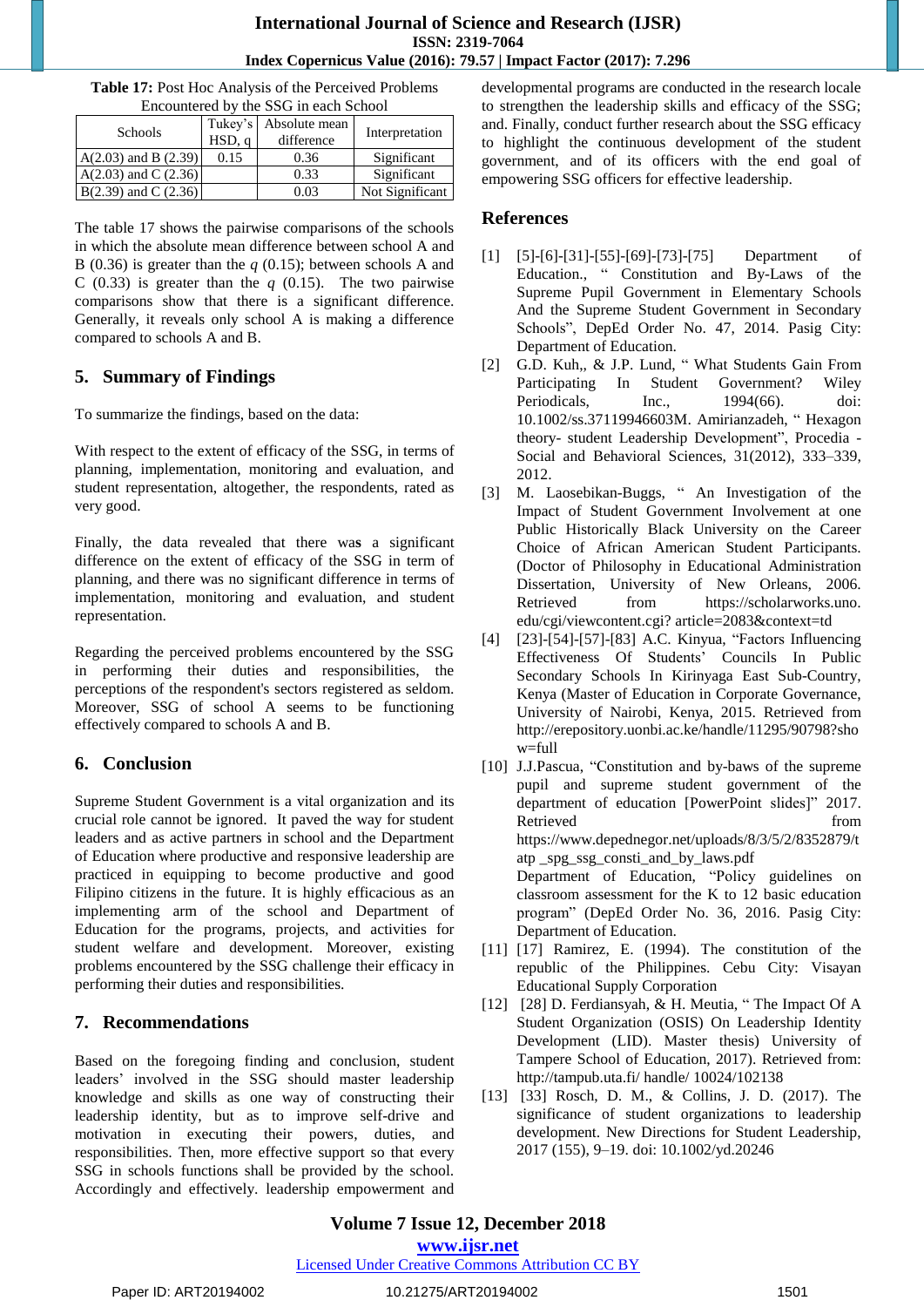| Encountered by the SSG in each School |                                               |      |                 |  |  |  |  |
|---------------------------------------|-----------------------------------------------|------|-----------------|--|--|--|--|
| Schools                               | Tukey's Absolute mean<br>HSD, q<br>difference |      |                 |  |  |  |  |
| $A(2.03)$ and B $(2.39)$              | 0.15                                          | 0.36 | Significant     |  |  |  |  |
| $A(2.03)$ and C $(2.36)$              |                                               | 0.33 | Significant     |  |  |  |  |
| $B(2.39)$ and C $(2.36)$              |                                               | 0.03 | Not Significant |  |  |  |  |

**Table 17:** Post Hoc Analysis of the Perceived Problems

The table 17 shows the pairwise comparisons of the schools in which the absolute mean difference between school A and B (0.36) is greater than the *q* (0.15); between schools A and C (0.33) is greater than the  $q$  (0.15). The two pairwise comparisons show that there is a significant difference. Generally, it reveals only school A is making a difference compared to schools A and B.

## **5. Summary of Findings**

To summarize the findings, based on the data:

With respect to the extent of efficacy of the SSG, in terms of planning, implementation, monitoring and evaluation, and student representation, altogether, the respondents, rated as very good.

Finally, the data revealed that there wa**s** a significant difference on the extent of efficacy of the SSG in term of planning, and there was no significant difference in terms of implementation, monitoring and evaluation, and student representation.

Regarding the perceived problems encountered by the SSG in performing their duties and responsibilities, the perceptions of the respondent's sectors registered as seldom. Moreover, SSG of school A seems to be functioning effectively compared to schools A and B.

## **6. Conclusion**

Supreme Student Government is a vital organization and its crucial role cannot be ignored. It paved the way for student leaders and as active partners in school and the Department of Education where productive and responsive leadership are practiced in equipping to become productive and good Filipino citizens in the future. It is highly efficacious as an implementing arm of the school and Department of Education for the programs, projects, and activities for student welfare and development. Moreover, existing problems encountered by the SSG challenge their efficacy in performing their duties and responsibilities.

## **7. Recommendations**

Based on the foregoing finding and conclusion, student leaders' involved in the SSG should master leadership knowledge and skills as one way of constructing their leadership identity, but as to improve self-drive and motivation in executing their powers, duties, and responsibilities. Then, more effective support so that every SSG in schools functions shall be provided by the school. Accordingly and effectively. leadership empowerment and developmental programs are conducted in the research locale to strengthen the leadership skills and efficacy of the SSG; and. Finally, conduct further research about the SSG efficacy to highlight the continuous development of the student government, and of its officers with the end goal of empowering SSG officers for effective leadership.

## **References**

- [1] [5]-[6]-[31]-[55]-[69]-[73]-[75] Department of Education., " Constitution and By-Laws of the Supreme Pupil Government in Elementary Schools And the Supreme Student Government in Secondary Schools", DepEd Order No. 47, 2014. Pasig City: Department of Education.
- [2] G.D. Kuh., & J.P. Lund, "What Students Gain From Participating In Student Government? Wiley Periodicals, Inc., 1994(66). doi: 10.1002/ss.37119946603M. Amirianzadeh, "Hexagon theory- student Leadership Development", Procedia -Social and Behavioral Sciences, 31(2012), 333–339, 2012.
- [3] M. Laosebikan-Buggs, " An Investigation of the Impact of Student Government Involvement at one Public Historically Black University on the Career Choice of African American Student Participants. (Doctor of Philosophy in Educational Administration Dissertation, University of New Orleans, 2006. Retrieved from https://scholarworks.uno. edu/cgi/viewcontent.cgi? article=2083&context=td
- [4] [23]-[54]-[57]-[83] A.C. Kinyua, "Factors Influencing Effectiveness Of Students' Councils In Public Secondary Schools In Kirinyaga East Sub-Country, Kenya (Master of Education in Corporate Governance, University of Nairobi, Kenya, 2015. Retrieved from [http://erepository.uonbi.ac.ke/handle/11295/90798?sho](http://erepository.uonbi.ac.ke/handle/11295/90798?show=full) [w=full](http://erepository.uonbi.ac.ke/handle/11295/90798?show=full)
- [10] J.J.Pascua, "Constitution and by-baws of the supreme pupil and supreme student government of the department of education [PowerPoint slides]" 2017. Retrieved from the state of  $\sim$ [https://www.depednegor.net/uploads/8/3/5/2/8352879/t](https://www.depednegor.net/uploads/8/3/5/2/8352879/tatp) [atp](https://www.depednegor.net/uploads/8/3/5/2/8352879/tatp) \_spg\_ssg\_consti\_and\_by\_laws.pdf Department of Education, "Policy guidelines on classroom assessment for the K to 12 basic education program" (DepEd Order No. 36, 2016. Pasig City: Department of Education.
- [11] [17] Ramirez, E. (1994). The constitution of the republic of the Philippines. Cebu City: Visayan Educational Supply Corporation
- [12] [28] D. Ferdiansyah, & H. Meutia, "The Impact Of A Student Organization (OSIS) On Leadership Identity Development (LID). Master thesis) University of Tampere School of Education, 2017). Retrieved from: http://tampub.uta.fi/ handle/ 10024/102138
- [13] [33] Rosch, D. M., & Collins, J. D. (2017). The significance of student organizations to leadership development. New Directions for Student Leadership, 2017 (155), 9–19. doi: 10.1002/yd.20246

## **Volume 7 Issue 12, December 2018**

**www.ijsr.net**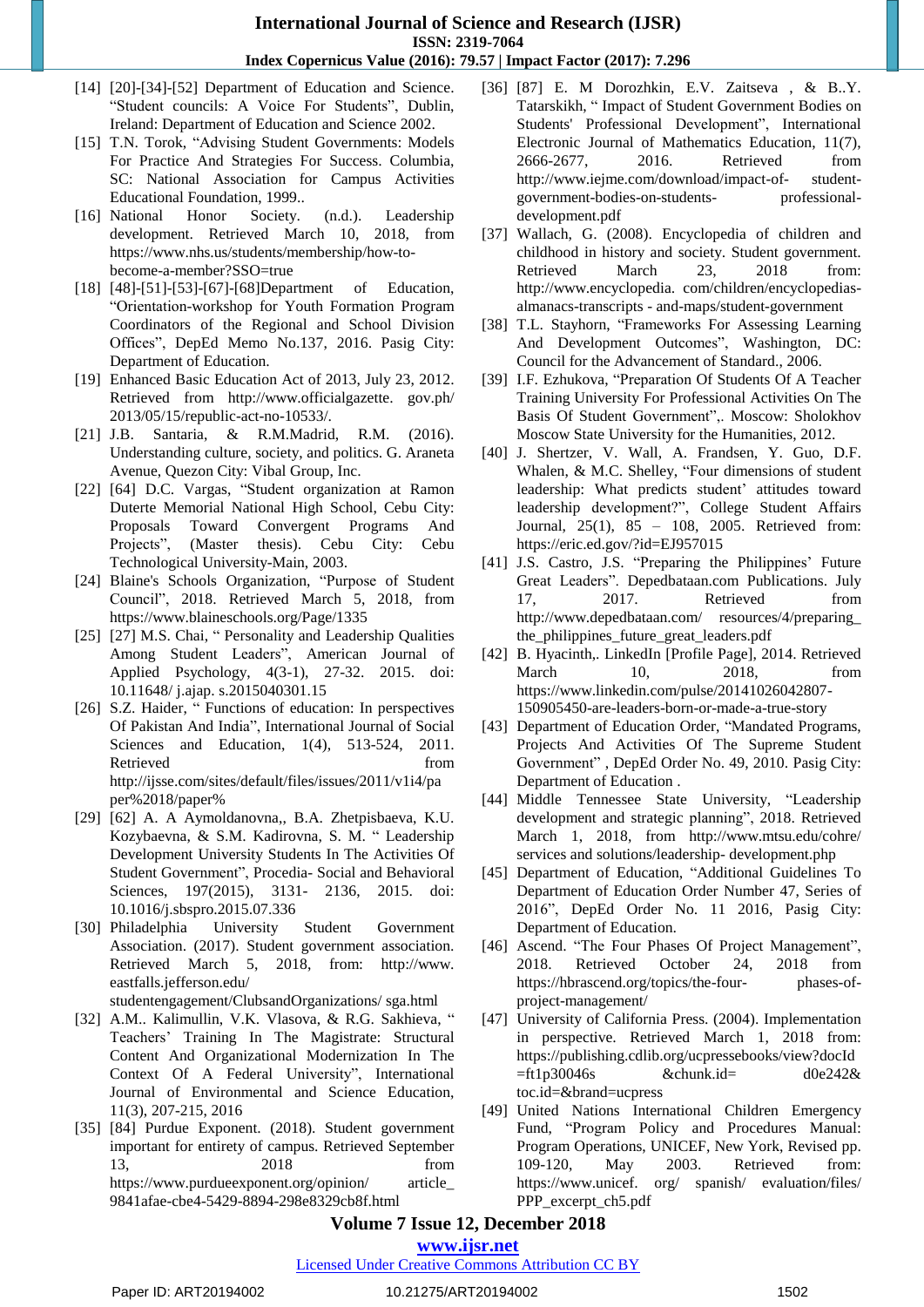- [14] [20]-[34]-[52] Department of Education and Science. "Student councils: A Voice For Students", Dublin, Ireland: Department of Education and Science 2002.
- [15] T.N. Torok, "Advising Student Governments: Models For Practice And Strategies For Success. Columbia, SC: National Association for Campus Activities Educational Foundation, 1999..
- [16] National Honor Society. (n.d.). Leadership development. Retrieved March 10, 2018, from [https://www.nhs.us/students/membership/how-to](https://www.nhs.us/students/membership/how-to-become-)[become-a](https://www.nhs.us/students/membership/how-to-become-)-member?SSO=true
- [18] [48]-[51]-[53]-[67]-[68]Department of Education, ―Orientation-workshop for Youth Formation Program Coordinators of the Regional and School Division Offices", DepEd Memo No.137, 2016. Pasig City: Department of Education.
- [19] Enhanced Basic Education Act of 2013, July 23, 2012. Retrieved from [http://www.officialgazette.](http://www.officialgazette/) gov.ph/ 2013/05/15/republic-act-no-10533/.
- [21] J.B. Santaria, & R.M.Madrid, R.M. (2016). Understanding culture, society, and politics. G. Araneta Avenue, Quezon City: Vibal Group, Inc.
- [22] [64] D.C. Vargas, "Student organization at Ramon Duterte Memorial National High School, Cebu City: Proposals Toward Convergent Programs And Projects‖, (Master thesis). Cebu City: Cebu Technological University-Main, 2003.
- [24] Blaine's Schools Organization, "Purpose of Student Council", 2018. Retrieved March 5, 2018, from <https://www.blaineschools.org/Page/1335>
- [25] [27] M.S. Chai, " Personality and Leadership Qualities Among Student Leaders", American Journal of Applied Psychology, 4(3-1), 27-32. 2015. doi: 10.11648/ j.ajap. s.2015040301.15
- [26] S.Z. Haider, " Functions of education: In perspectives Of Pakistan And India", International Journal of Social Sciences and Education, 1(4), 513-524, 2011. Retrieved from [http://ijsse.com/sites/default/files/issues/2011/v1i4/pa](http://ijsse.com/sites/default/files/issues/2011/v1i4/pa%09%09per%2018/paper%25) [per%2018/paper%](http://ijsse.com/sites/default/files/issues/2011/v1i4/pa%09%09per%2018/paper%25)
- [29] [62] A. A Aymoldanovna,, B.A. Zhetpisbaeva, K.U. Kozybaevna, & S.M. Kadirovna, S. M. "Leadership Development University Students In The Activities Of Student Government", Procedia- Social and Behavioral Sciences, 197(2015), 3131- 2136, 2015. doi: 10.1016/j.sbspro.2015.07.336
- [30] Philadelphia University Student Government Association. (2017). Student government association. Retrieved March 5, 2018, from: http://www. eastfalls.jefferson.edu/ studentengagement/ClubsandOrganizations/ sga.html
- [32] A.M.. Kalimullin, V.K. Vlasova, & R.G. Sakhieva, " Teachers' Training In The Magistrate: Structural Content And Organizational Modernization In The Context Of A Federal University", International Journal of Environmental and Science Education, 11(3), 207-215, 2016
- [35] [84] Purdue Exponent. (2018). Student government important for entirety of campus. Retrieved September 13, 2018 from https://www.purdueexponent.org/opinion/ article\_ 9841afae-cbe4-5429-8894-298e8329cb8f.html
- [36] [87] E. M Dorozhkin, E.V. Zaitseva , & B..Y. Tatarskikh, "Impact of Student Government Bodies on Students' Professional Development", International Electronic Journal of Mathematics Education, 11(7), 2666-2677, 2016. Retrieved from [http://www.iejme.com/download/impact-of-](http://www.iejme.com/download/impact-of-student-government-bodies-on-students-professional-development.pdf) student[government-bodies-on-students-](http://www.iejme.com/download/impact-of-student-government-bodies-on-students-professional-development.pdf) professional[development.pdf](http://www.iejme.com/download/impact-of-student-government-bodies-on-students-professional-development.pdf)
- [37] Wallach, G. (2008). Encyclopedia of children and childhood in history and society. Student government. Retrieved March 23, 2018 from: http://www.encyclopedia. com/children/encyclopediasalmanacs-transcripts - and-maps/student-government
- [38] T.L. Stayhorn, "Frameworks For Assessing Learning And Development Outcomes", Washington, DC: Council for the Advancement of Standard., 2006.
- [39] I.F. Ezhukova, "Preparation Of Students Of A Teacher Training University For Professional Activities On The Basis Of Student Government",. Moscow: Sholokhov Moscow State University for the Humanities, 2012.
- [40] J. Shertzer, V. Wall, A. Frandsen, Y. Guo, D.F. Whalen, & M.C. Shelley, "Four dimensions of student leadership: What predicts student' attitudes toward leadership development?", College Student Affairs Journal, 25(1), 85 – 108, 2005. Retrieved from: <https://eric.ed.gov/?id=EJ957015>
- [41] J.S. Castro, J.S. "Preparing the Philippines' Future Great Leaders". Depedbataan.com Publications. July 17, 2017. Retrieved from <http://www.depedbataan.com/> resources/4/preparing\_ the philippines future great leaders.pdf
- [42] B. Hyacinth,. LinkedIn [Profile Page], 2014. Retrieved March 10, 2018, from [https://www.linkedin.com/pulse/20141026042807-](https://www.linkedin.com/pulse/20141026042807-150905450-are-leaders-born-or-made-a-true-story) [150905450-are-leaders-born-or-made-a-true-story](https://www.linkedin.com/pulse/20141026042807-150905450-are-leaders-born-or-made-a-true-story)
- [43] Department of Education Order, "Mandated Programs, Projects And Activities Of The Supreme Student Government", DepEd Order No. 49, 2010. Pasig City: Department of Education .
- [44] Middle Tennessee State University, "Leadership development and strategic planning", 2018. Retrieved March 1, 2018, from http://www.mtsu.edu/cohre/ services and solutions/leadership- development.php
- [45] Department of Education, "Additional Guidelines To Department of Education Order Number 47, Series of 2016", DepEd Order No. 11 2016, Pasig City: Department of Education.
- [46] Ascend. "The Four Phases Of Project Management", 2018. Retrieved October 24, 2018 from [https://hbrascend.org/topics/the-four-](https://hbrascend.org/topics/the-four-phases-of-project-management/) phases-of[project-management/](https://hbrascend.org/topics/the-four-phases-of-project-management/)
- [47] University of California Press. (2004). Implementation in perspective. Retrieved March 1, 2018 from: [https://publishing.cdlib.org/ucpressebooks/view?docId](https://publishing.cdlib.org/ucpressebooks/view?docId=ft1p30046s%20&chunk.id=%20%20d0e242&%20%20toc.id=&brand=ucpress)  $=$ ft1p30046s &chunk.id= d0e242& [toc.id=&brand=ucpress](https://publishing.cdlib.org/ucpressebooks/view?docId=ft1p30046s%20&chunk.id=%20%20d0e242&%20%20toc.id=&brand=ucpress)
- [49] United Nations International Children Emergency Fund, "Program Policy and Procedures Manual: Program Operations, UNICEF, New York, Revised pp. 109-120, May 2003. Retrieved from: https://www.unicef. org/ spanish/ evaluation/files/ PPP\_excerpt\_ch5.pdf

## **Volume 7 Issue 12, December 2018**

## **www.ijsr.net**